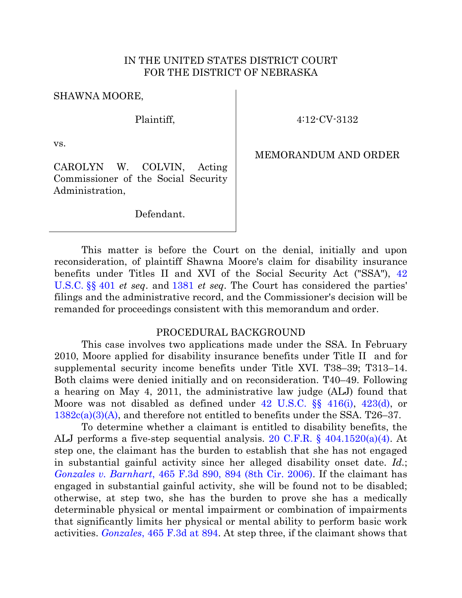#### IN THE UNITED STATES DISTRICT COURT FOR THE DISTRICT OF NEBRASKA

SHAWNA MOORE,

Plaintiff,

4:12-CV-3132

vs.

MEMORANDUM AND ORDER

CAROLYN W. COLVIN, Acting Commissioner of the Social Security Administration,

Defendant.

This matter is before the Court on the denial, initially and upon reconsideration, of plaintiff Shawna Moore's claim for disability insurance benefits under Titles II and XVI of the Social Security Act ("SSA"), [42](http://westlaw.com/find/default.wl?ft=L&docname=42USCAS401&rs=btil2.0&rp=%2ffind%2fdefault.wl&fn=_top&findtype=L&vr=2.0&db=1000546&wbtoolsId=42USCAS401&HistoryType=F)  [U.S.C.](http://westlaw.com/find/default.wl?ft=L&docname=42USCAS401&rs=btil2.0&rp=%2ffind%2fdefault.wl&fn=_top&findtype=L&vr=2.0&db=1000546&wbtoolsId=42USCAS401&HistoryType=F) §§ 401 *et seq*. and [1381](http://web2.westlaw.com/find/default.wl?cite=42+U.S.C.A.+%C2%A7+1381&ft=L&vr=2.0&rs=WLW13.04&rp=%2ffind%2fdefault.wl&utid=1&fn=_top&mt=FederalGovernment&sv=Split) *et seq*. The Court has considered the parties' filings and the administrative record, and the Commissioner's decision will be remanded for proceedings consistent with this memorandum and order.

#### PROCEDURAL BACKGROUND

This case involves two applications made under the SSA. In February 2010, Moore applied for disability insurance benefits under Title II and for supplemental security income benefits under Title XVI. T38–39; T313–14. Both claims were denied initially and on reconsideration. T40–49. Following a hearing on May 4, 2011, the administrative law judge (ALJ) found that Moore was not disabled as defined under [42 U.S.C. §§ 416\(i\),](http://westlaw.com/find/default.wl?ft=L&docname=42USCAS416&rs=btil2.0&rp=%2ffind%2fdefault.wl&fn=_top&findtype=L&vr=2.0&db=1000546&wbtoolsId=42USCAS416&HistoryType=F) [423\(d\),](http://web2.westlaw.com/find/default.wl?cite=42+U.S.C.A.+%C2%A7+423&ft=L&vr=2.0&rs=WLW13.04&rp=%2ffind%2fdefault.wl&utid=1&fn=_top&mt=FederalGovernment&sv=Split) or [1382c\(a\)\(3\)\(A\),](http://web2.westlaw.com/find/default.wl?cite=42+usc+s+1382c&ft=L&vr=2.0&rs=WLW13.04&rp=%2ffind%2fdefault.wl&utid=1&fn=_top&mt=FederalGovernment&sv=Split) and therefore not entitled to benefits under the SSA. T26–37.

To determine whether a claimant is entitled to disability benefits, the ALJ performs a five-step sequential analysis. [20 C.F.R. § 404.1520\(a\)\(4\).](http://westlaw.com/find/default.wl?ft=L&docname=20CFRS404.1520&rs=btil2.0&rp=%2ffind%2fdefault.wl&fn=_top&findtype=L&vr=2.0&db=1000547&wbtoolsId=20CFRS404.1520&HistoryType=F) At step one, the claimant has the burden to establish that she has not engaged in substantial gainful activity since her alleged disability onset date. *Id.*; *Gonzales v. Barnhart*[, 465 F.3d 890, 894 \(8th Cir. 2006\).](http://westlaw.com/find/default.wl?ft=Y&referencepositiontype=S&rs=btil2.0&rp=%2ffind%2fdefault.wl&serialnum=2010493996&fn=_top&referenceposition=894&findtype=Y&vr=2.0&db=0000506&wbtoolsId=2010493996&HistoryType=F) If the claimant has engaged in substantial gainful activity, she will be found not to be disabled; otherwise, at step two, she has the burden to prove she has a medically determinable physical or mental impairment or combination of impairments that significantly limits her physical or mental ability to perform basic work activities. *Gonzales*, 465 [F.3d at 894.](http://westlaw.com/find/default.wl?ft=Y&referencepositiontype=S&rs=btil2.0&rp=%2ffind%2fdefault.wl&serialnum=2010493996&fn=_top&referenceposition=894&findtype=Y&vr=2.0&db=0000506&wbtoolsId=2010493996&HistoryType=F) At step three, if the claimant shows that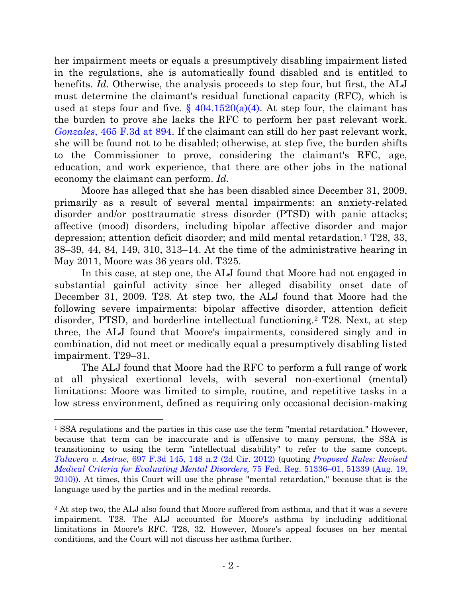her impairment meets or equals a presumptively disabling impairment listed in the regulations, she is automatically found disabled and is entitled to benefits. *Id.* Otherwise, the analysis proceeds to step four, but first, the ALJ must determine the claimant's residual functional capacity (RFC), which is used at steps four and five.  $\S$  404.1520(a)(4). At step four, the claimant has the burden to prove she lacks the RFC to perform her past relevant work. *Gonzales*[, 465 F.3d at 894.](http://westlaw.com/find/default.wl?ft=Y&referencepositiontype=S&rs=btil2.0&rp=%2ffind%2fdefault.wl&serialnum=2010493996&fn=_top&referenceposition=894&findtype=Y&vr=2.0&db=0000506&wbtoolsId=2010493996&HistoryType=F) If the claimant can still do her past relevant work, she will be found not to be disabled; otherwise, at step five, the burden shifts to the Commissioner to prove, considering the claimant's RFC, age, education, and work experience, that there are other jobs in the national economy the claimant can perform. *Id.*

Moore has alleged that she has been disabled since December 31, 2009, primarily as a result of several mental impairments: an anxiety-related disorder and/or posttraumatic stress disorder (PTSD) with panic attacks; affective (mood) disorders, including bipolar affective disorder and major depression; attention deficit disorder; and mild mental retardation.<sup>1</sup> T28, 33, 38–39, 44, 84, 149, 310, 313–14. At the time of the administrative hearing in May 2011, Moore was 36 years old. T325.

In this case, at step one, the ALJ found that Moore had not engaged in substantial gainful activity since her alleged disability onset date of December 31, 2009. T28. At step two, the ALJ found that Moore had the following severe impairments: bipolar affective disorder, attention deficit disorder, PTSD, and borderline intellectual functioning.<sup>2</sup> T28. Next, at step three, the ALJ found that Moore's impairments, considered singly and in combination, did not meet or medically equal a presumptively disabling listed impairment. T29–31.

The ALJ found that Moore had the RFC to perform a full range of work at all physical exertional levels, with several non-exertional (mental) limitations: Moore was limited to simple, routine, and repetitive tasks in a low stress environment, defined as requiring only occasional decision-making

<sup>&</sup>lt;sup>1</sup> SSA regulations and the parties in this case use the term "mental retardation." However, because that term can be inaccurate and is offensive to many persons, the SSA is transitioning to using the term "intellectual disability" to refer to the same concept. *Talavera v. Astrue*[, 697 F.3d 145, 148 n.2 \(2d Cir. 2012\)](http://westlaw.com/find/default.wl?ft=Y&referencepositiontype=S&rs=btil2.0&rp=%2ffind%2fdefault.wl&serialnum=2028826025&fn=_top&referenceposition=148&findtype=Y&vr=2.0&db=0000506&wbtoolsId=2028826025&HistoryType=F) (quoting *[Proposed Rules: Revised](http://web2.westlaw.com/find/default.wl?cite=75+Fed.+Reg.+51336%E2%80%9301&ft=Y&vr=2.0&rs=WLW13.07&rp=%2ffind%2fdefault.wl&utid=1&fn=_top&mt=FederalGovernment&sv=Split)  [Medical Criteria for Evaluating Mental Disorders,](http://web2.westlaw.com/find/default.wl?cite=75+Fed.+Reg.+51336%E2%80%9301&ft=Y&vr=2.0&rs=WLW13.07&rp=%2ffind%2fdefault.wl&utid=1&fn=_top&mt=FederalGovernment&sv=Split)* 75 Fed. Reg. 51336–01, 51339 (Aug. 19, [2010\)\)](http://web2.westlaw.com/find/default.wl?cite=75+Fed.+Reg.+51336%E2%80%9301&ft=Y&vr=2.0&rs=WLW13.07&rp=%2ffind%2fdefault.wl&utid=1&fn=_top&mt=FederalGovernment&sv=Split). At times, this Court will use the phrase "mental retardation," because that is the language used by the parties and in the medical records.

<sup>&</sup>lt;sup>2</sup> At step two, the ALJ also found that Moore suffered from asthma, and that it was a severe impairment. T28. The ALJ accounted for Moore's asthma by including additional limitations in Moore's RFC. T28, 32. However, Moore's appeal focuses on her mental conditions, and the Court will not discuss her asthma further.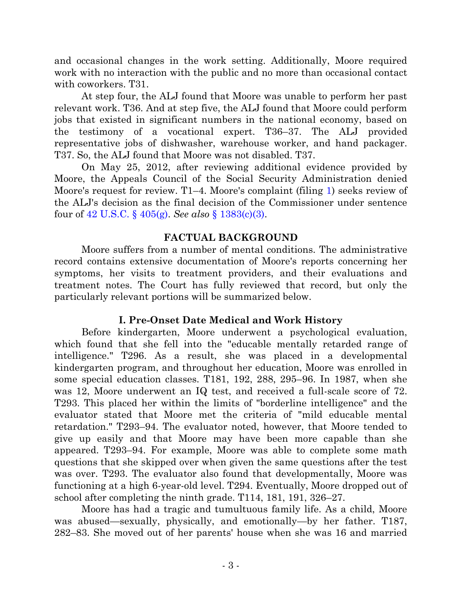and occasional changes in the work setting. Additionally, Moore required work with no interaction with the public and no more than occasional contact with coworkers. T<sub>31</sub>.

At step four, the ALJ found that Moore was unable to perform her past relevant work. T36. And at step five, the ALJ found that Moore could perform jobs that existed in significant numbers in the national economy, based on the testimony of a vocational expert. T36–37. The ALJ provided representative jobs of dishwasher, warehouse worker, and hand packager. T37. So, the ALJ found that Moore was not disabled. T37.

On May 25, 2012, after reviewing additional evidence provided by Moore, the Appeals Council of the Social Security Administration denied Moore's request for review. T1–4. Moore's complaint (filing [1\)](https://ecf.ned.uscourts.gov/doc1/11312555986) seeks review of the ALJ's decision as the final decision of the Commissioner under sentence four of [42 U.S.C.](http://westlaw.com/find/default.wl?ft=L&docname=42USCAS405&rs=btil2.0&rp=%2ffind%2fdefault.wl&fn=_top&findtype=L&vr=2.0&db=1000546&wbtoolsId=42USCAS405&HistoryType=F) § 405(g). *See also* § [1383\(c\)\(3\).](http://web2.westlaw.com/find/default.wl?cite=42+u.s.c.+s+1383&ft=Y&vr=2.0&rs=WLW13.07&rp=%2ffind%2fdefault.wl&utid=1&fn=_top&mt=FederalGovernment&sv=Split)

## **FACTUAL BACKGROUND**

Moore suffers from a number of mental conditions. The administrative record contains extensive documentation of Moore's reports concerning her symptoms, her visits to treatment providers, and their evaluations and treatment notes. The Court has fully reviewed that record, but only the particularly relevant portions will be summarized below.

# **I. Pre-Onset Date Medical and Work History**

Before kindergarten, Moore underwent a psychological evaluation, which found that she fell into the "educable mentally retarded range of intelligence." T296. As a result, she was placed in a developmental kindergarten program, and throughout her education, Moore was enrolled in some special education classes. T181, 192, 288, 295–96. In 1987, when she was 12, Moore underwent an IQ test, and received a full-scale score of 72. T293. This placed her within the limits of "borderline intelligence" and the evaluator stated that Moore met the criteria of "mild educable mental retardation." T293–94. The evaluator noted, however, that Moore tended to give up easily and that Moore may have been more capable than she appeared. T293–94. For example, Moore was able to complete some math questions that she skipped over when given the same questions after the test was over. T293. The evaluator also found that developmentally, Moore was functioning at a high 6-year-old level. T294. Eventually, Moore dropped out of school after completing the ninth grade. T114, 181, 191, 326–27.

Moore has had a tragic and tumultuous family life. As a child, Moore was abused—sexually, physically, and emotionally—by her father. T187, 282–83. She moved out of her parents' house when she was 16 and married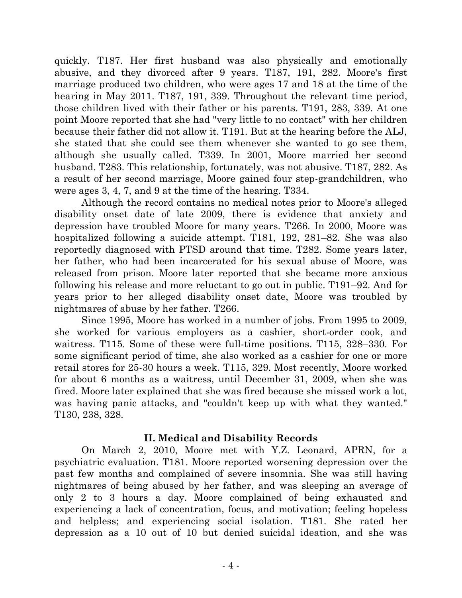quickly. T187. Her first husband was also physically and emotionally abusive, and they divorced after 9 years. T187, 191, 282. Moore's first marriage produced two children, who were ages 17 and 18 at the time of the hearing in May 2011. T187, 191, 339. Throughout the relevant time period, those children lived with their father or his parents. T191, 283, 339. At one point Moore reported that she had "very little to no contact" with her children because their father did not allow it. T191. But at the hearing before the ALJ, she stated that she could see them whenever she wanted to go see them, although she usually called. T339. In 2001, Moore married her second husband. T283. This relationship, fortunately, was not abusive. T187, 282. As a result of her second marriage, Moore gained four step-grandchildren, who were ages 3, 4, 7, and 9 at the time of the hearing. T334.

Although the record contains no medical notes prior to Moore's alleged disability onset date of late 2009, there is evidence that anxiety and depression have troubled Moore for many years. T266. In 2000, Moore was hospitalized following a suicide attempt. T181, 192, 281–82. She was also reportedly diagnosed with PTSD around that time. T282. Some years later, her father, who had been incarcerated for his sexual abuse of Moore, was released from prison. Moore later reported that she became more anxious following his release and more reluctant to go out in public. T191–92. And for years prior to her alleged disability onset date, Moore was troubled by nightmares of abuse by her father. T266.

Since 1995, Moore has worked in a number of jobs. From 1995 to 2009, she worked for various employers as a cashier, short-order cook, and waitress. T115. Some of these were full-time positions. T115, 328–330. For some significant period of time, she also worked as a cashier for one or more retail stores for 25-30 hours a week. T115, 329. Most recently, Moore worked for about 6 months as a waitress, until December 31, 2009, when she was fired. Moore later explained that she was fired because she missed work a lot, was having panic attacks, and "couldn't keep up with what they wanted." T130, 238, 328.

## **II. Medical and Disability Records**

On March 2, 2010, Moore met with Y.Z. Leonard, APRN, for a psychiatric evaluation. T181. Moore reported worsening depression over the past few months and complained of severe insomnia. She was still having nightmares of being abused by her father, and was sleeping an average of only 2 to 3 hours a day. Moore complained of being exhausted and experiencing a lack of concentration, focus, and motivation; feeling hopeless and helpless; and experiencing social isolation. T181. She rated her depression as a 10 out of 10 but denied suicidal ideation, and she was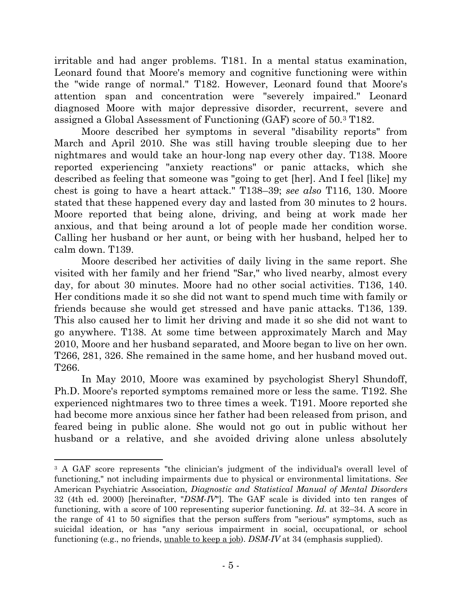irritable and had anger problems. T181. In a mental status examination, Leonard found that Moore's memory and cognitive functioning were within the "wide range of normal." T182. However, Leonard found that Moore's attention span and concentration were "severely impaired." Leonard diagnosed Moore with major depressive disorder, recurrent, severe and assigned a Global Assessment of Functioning (GAF) score of 50.<sup>3</sup> T182.

Moore described her symptoms in several "disability reports" from March and April 2010. She was still having trouble sleeping due to her nightmares and would take an hour-long nap every other day. T138. Moore reported experiencing "anxiety reactions" or panic attacks, which she described as feeling that someone was "going to get [her]. And I feel [like] my chest is going to have a heart attack." T138–39; *see also* T116, 130. Moore stated that these happened every day and lasted from 30 minutes to 2 hours. Moore reported that being alone, driving, and being at work made her anxious, and that being around a lot of people made her condition worse. Calling her husband or her aunt, or being with her husband, helped her to calm down. T139.

Moore described her activities of daily living in the same report. She visited with her family and her friend "Sar," who lived nearby, almost every day, for about 30 minutes. Moore had no other social activities. T136, 140. Her conditions made it so she did not want to spend much time with family or friends because she would get stressed and have panic attacks. T136, 139. This also caused her to limit her driving and made it so she did not want to go anywhere. T138. At some time between approximately March and May 2010, Moore and her husband separated, and Moore began to live on her own. T266, 281, 326. She remained in the same home, and her husband moved out. T266.

In May 2010, Moore was examined by psychologist Sheryl Shundoff, Ph.D. Moore's reported symptoms remained more or less the same. T192. She experienced nightmares two to three times a week. T191. Moore reported she had become more anxious since her father had been released from prison, and feared being in public alone. She would not go out in public without her husband or a relative, and she avoided driving alone unless absolutely

<sup>&</sup>lt;sup>3</sup> A GAF score represents "the clinician's judgment of the individual's overall level of functioning," not including impairments due to physical or environmental limitations. *See* American Psychiatric Association, *Diagnostic and Statistical Manual of Mental Disorders* 32 (4th ed. 2000) [hereinafter, "*DSM-IV*"]. The GAF scale is divided into ten ranges of functioning, with a score of 100 representing superior functioning. *Id.* at 32–34. A score in the range of 41 to 50 signifies that the person suffers from "serious" symptoms, such as suicidal ideation, or has "any serious impairment in social, occupational, or school functioning (e.g., no friends, unable to keep a job). *DSM-IV* at 34 (emphasis supplied).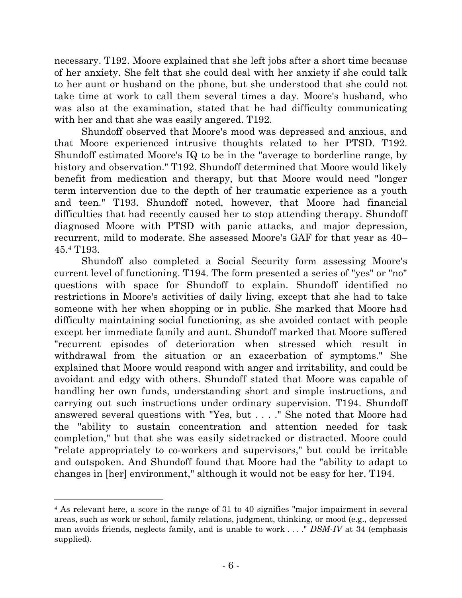necessary. T192. Moore explained that she left jobs after a short time because of her anxiety. She felt that she could deal with her anxiety if she could talk to her aunt or husband on the phone, but she understood that she could not take time at work to call them several times a day. Moore's husband, who was also at the examination, stated that he had difficulty communicating with her and that she was easily angered. T192.

Shundoff observed that Moore's mood was depressed and anxious, and that Moore experienced intrusive thoughts related to her PTSD. T192. Shundoff estimated Moore's IQ to be in the "average to borderline range, by history and observation." T192. Shundoff determined that Moore would likely benefit from medication and therapy, but that Moore would need "longer term intervention due to the depth of her traumatic experience as a youth and teen." T193. Shundoff noted, however, that Moore had financial difficulties that had recently caused her to stop attending therapy. Shundoff diagnosed Moore with PTSD with panic attacks, and major depression, recurrent, mild to moderate. She assessed Moore's GAF for that year as 40– 45.<sup>4</sup> T193.

Shundoff also completed a Social Security form assessing Moore's current level of functioning. T194. The form presented a series of "yes" or "no" questions with space for Shundoff to explain. Shundoff identified no restrictions in Moore's activities of daily living, except that she had to take someone with her when shopping or in public. She marked that Moore had difficulty maintaining social functioning, as she avoided contact with people except her immediate family and aunt. Shundoff marked that Moore suffered "recurrent episodes of deterioration when stressed which result in withdrawal from the situation or an exacerbation of symptoms." She explained that Moore would respond with anger and irritability, and could be avoidant and edgy with others. Shundoff stated that Moore was capable of handling her own funds, understanding short and simple instructions, and carrying out such instructions under ordinary supervision. T194. Shundoff answered several questions with "Yes, but . . . ." She noted that Moore had the "ability to sustain concentration and attention needed for task completion," but that she was easily sidetracked or distracted. Moore could "relate appropriately to co-workers and supervisors," but could be irritable and outspoken. And Shundoff found that Moore had the "ability to adapt to changes in [her] environment," although it would not be easy for her. T194.

<sup>4</sup> As relevant here, a score in the range of 31 to 40 signifies "major impairment in several areas, such as work or school, family relations, judgment, thinking, or mood (e.g., depressed man avoids friends, neglects family, and is unable to work . . . ." *DSM-IV* at 34 (emphasis supplied).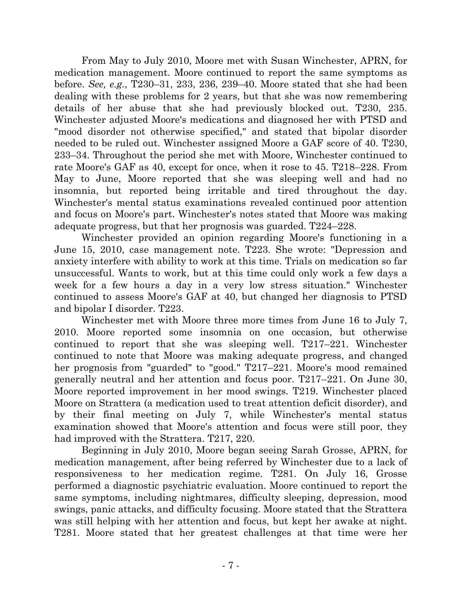From May to July 2010, Moore met with Susan Winchester, APRN, for medication management. Moore continued to report the same symptoms as before. *See, e.g.*, T230–31, 233, 236, 239–40. Moore stated that she had been dealing with these problems for 2 years, but that she was now remembering details of her abuse that she had previously blocked out. T230, 235. Winchester adjusted Moore's medications and diagnosed her with PTSD and "mood disorder not otherwise specified," and stated that bipolar disorder needed to be ruled out. Winchester assigned Moore a GAF score of 40. T230, 233–34. Throughout the period she met with Moore, Winchester continued to rate Moore's GAF as 40, except for once, when it rose to 45. T218–228. From May to June, Moore reported that she was sleeping well and had no insomnia, but reported being irritable and tired throughout the day. Winchester's mental status examinations revealed continued poor attention and focus on Moore's part. Winchester's notes stated that Moore was making adequate progress, but that her prognosis was guarded. T224–228.

Winchester provided an opinion regarding Moore's functioning in a June 15, 2010, case management note. T223. She wrote: "Depression and anxiety interfere with ability to work at this time. Trials on medication so far unsuccessful. Wants to work, but at this time could only work a few days a week for a few hours a day in a very low stress situation." Winchester continued to assess Moore's GAF at 40, but changed her diagnosis to PTSD and bipolar I disorder. T223.

Winchester met with Moore three more times from June 16 to July 7, 2010. Moore reported some insomnia on one occasion, but otherwise continued to report that she was sleeping well. T217–221. Winchester continued to note that Moore was making adequate progress, and changed her prognosis from "guarded" to "good." T217–221. Moore's mood remained generally neutral and her attention and focus poor. T217–221. On June 30, Moore reported improvement in her mood swings. T219. Winchester placed Moore on Strattera (a medication used to treat attention deficit disorder), and by their final meeting on July 7, while Winchester's mental status examination showed that Moore's attention and focus were still poor, they had improved with the Strattera. T217, 220.

Beginning in July 2010, Moore began seeing Sarah Grosse, APRN, for medication management, after being referred by Winchester due to a lack of responsiveness to her medication regime. T281. On July 16, Grosse performed a diagnostic psychiatric evaluation. Moore continued to report the same symptoms, including nightmares, difficulty sleeping, depression, mood swings, panic attacks, and difficulty focusing. Moore stated that the Strattera was still helping with her attention and focus, but kept her awake at night. T281. Moore stated that her greatest challenges at that time were her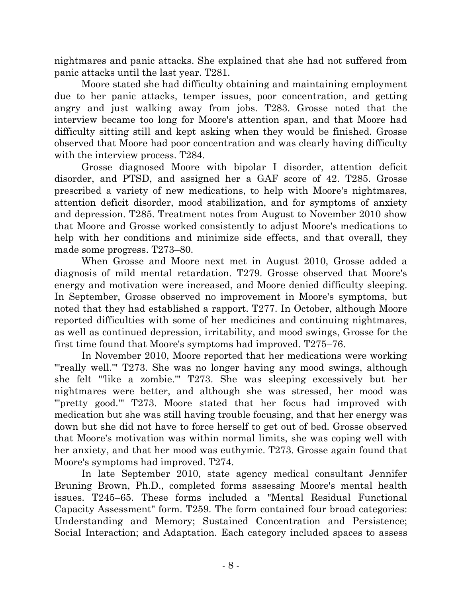nightmares and panic attacks. She explained that she had not suffered from panic attacks until the last year. T281.

Moore stated she had difficulty obtaining and maintaining employment due to her panic attacks, temper issues, poor concentration, and getting angry and just walking away from jobs. T283. Grosse noted that the interview became too long for Moore's attention span, and that Moore had difficulty sitting still and kept asking when they would be finished. Grosse observed that Moore had poor concentration and was clearly having difficulty with the interview process. T284.

Grosse diagnosed Moore with bipolar I disorder, attention deficit disorder, and PTSD, and assigned her a GAF score of 42. T285. Grosse prescribed a variety of new medications, to help with Moore's nightmares, attention deficit disorder, mood stabilization, and for symptoms of anxiety and depression. T285. Treatment notes from August to November 2010 show that Moore and Grosse worked consistently to adjust Moore's medications to help with her conditions and minimize side effects, and that overall, they made some progress. T273–80.

When Grosse and Moore next met in August 2010, Grosse added a diagnosis of mild mental retardation. T279. Grosse observed that Moore's energy and motivation were increased, and Moore denied difficulty sleeping. In September, Grosse observed no improvement in Moore's symptoms, but noted that they had established a rapport. T277. In October, although Moore reported difficulties with some of her medicines and continuing nightmares, as well as continued depression, irritability, and mood swings, Grosse for the first time found that Moore's symptoms had improved. T275–76.

In November 2010, Moore reported that her medications were working "'really well." T273. She was no longer having any mood swings, although she felt "'like a zombie.'" T273. She was sleeping excessively but her nightmares were better, and although she was stressed, her mood was ""pretty good." T273. Moore stated that her focus had improved with medication but she was still having trouble focusing, and that her energy was down but she did not have to force herself to get out of bed. Grosse observed that Moore's motivation was within normal limits, she was coping well with her anxiety, and that her mood was euthymic. T273. Grosse again found that Moore's symptoms had improved. T274.

In late September 2010, state agency medical consultant Jennifer Bruning Brown, Ph.D., completed forms assessing Moore's mental health issues. T245–65. These forms included a "Mental Residual Functional Capacity Assessment" form. T259. The form contained four broad categories: Understanding and Memory; Sustained Concentration and Persistence; Social Interaction; and Adaptation. Each category included spaces to assess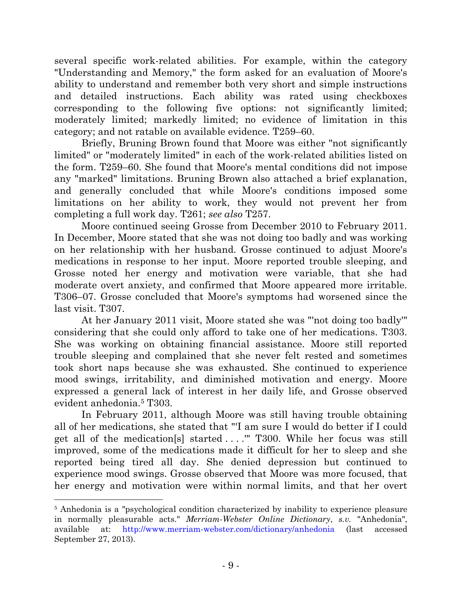several specific work-related abilities. For example, within the category "Understanding and Memory," the form asked for an evaluation of Moore's ability to understand and remember both very short and simple instructions and detailed instructions. Each ability was rated using checkboxes corresponding to the following five options: not significantly limited; moderately limited; markedly limited; no evidence of limitation in this category; and not ratable on available evidence. T259–60.

Briefly, Bruning Brown found that Moore was either "not significantly limited" or "moderately limited" in each of the work-related abilities listed on the form. T259–60. She found that Moore's mental conditions did not impose any "marked" limitations. Bruning Brown also attached a brief explanation, and generally concluded that while Moore's conditions imposed some limitations on her ability to work, they would not prevent her from completing a full work day. T261; *see also* T257.

Moore continued seeing Grosse from December 2010 to February 2011. In December, Moore stated that she was not doing too badly and was working on her relationship with her husband. Grosse continued to adjust Moore's medications in response to her input. Moore reported trouble sleeping, and Grosse noted her energy and motivation were variable, that she had moderate overt anxiety, and confirmed that Moore appeared more irritable. T306–07. Grosse concluded that Moore's symptoms had worsened since the last visit. T307.

At her January 2011 visit, Moore stated she was "'not doing too badly'" considering that she could only afford to take one of her medications. T303. She was working on obtaining financial assistance. Moore still reported trouble sleeping and complained that she never felt rested and sometimes took short naps because she was exhausted. She continued to experience mood swings, irritability, and diminished motivation and energy. Moore expressed a general lack of interest in her daily life, and Grosse observed evident anhedonia.<sup>5</sup> T303.

In February 2011, although Moore was still having trouble obtaining all of her medications, she stated that "'I am sure I would do better if I could get all of the medication[s] started . . . .'" T300. While her focus was still improved, some of the medications made it difficult for her to sleep and she reported being tired all day. She denied depression but continued to experience mood swings. Grosse observed that Moore was more focused, that her energy and motivation were within normal limits, and that her overt

<sup>5</sup> Anhedonia is a "psychological condition characterized by inability to experience pleasure in normally pleasurable acts." *Merriam-Webster Online Dictionary*, *s.v.* "Anhedonia", available at: <http://www.merriam-webster.com/dictionary/anhedonia> (last accessed September 27, 2013).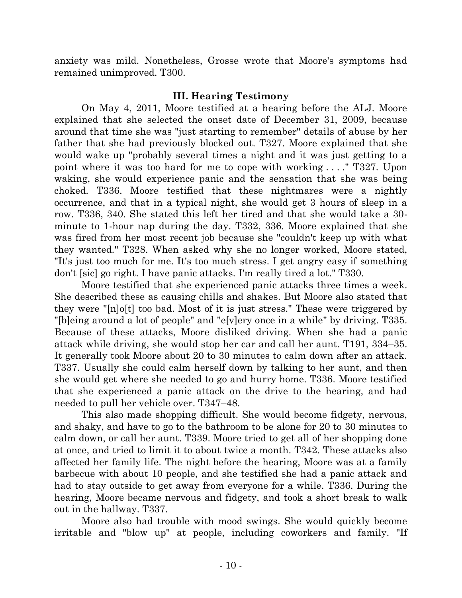anxiety was mild. Nonetheless, Grosse wrote that Moore's symptoms had remained unimproved. T300.

## **III. Hearing Testimony**

On May 4, 2011, Moore testified at a hearing before the ALJ. Moore explained that she selected the onset date of December 31, 2009, because around that time she was "just starting to remember" details of abuse by her father that she had previously blocked out. T327. Moore explained that she would wake up "probably several times a night and it was just getting to a point where it was too hard for me to cope with working . . . ." T327. Upon waking, she would experience panic and the sensation that she was being choked. T336. Moore testified that these nightmares were a nightly occurrence, and that in a typical night, she would get 3 hours of sleep in a row. T336, 340. She stated this left her tired and that she would take a 30 minute to 1-hour nap during the day. T332, 336. Moore explained that she was fired from her most recent job because she "couldn't keep up with what they wanted." T328. When asked why she no longer worked, Moore stated, "It's just too much for me. It's too much stress. I get angry easy if something don't [sic] go right. I have panic attacks. I'm really tired a lot." T330.

Moore testified that she experienced panic attacks three times a week. She described these as causing chills and shakes. But Moore also stated that they were "[n]o[t] too bad. Most of it is just stress." These were triggered by "[b]eing around a lot of people" and "e[v]ery once in a while" by driving. T335. Because of these attacks, Moore disliked driving. When she had a panic attack while driving, she would stop her car and call her aunt. T191, 334–35. It generally took Moore about 20 to 30 minutes to calm down after an attack. T337. Usually she could calm herself down by talking to her aunt, and then she would get where she needed to go and hurry home. T336. Moore testified that she experienced a panic attack on the drive to the hearing, and had needed to pull her vehicle over. T347–48.

This also made shopping difficult. She would become fidgety, nervous, and shaky, and have to go to the bathroom to be alone for 20 to 30 minutes to calm down, or call her aunt. T339. Moore tried to get all of her shopping done at once, and tried to limit it to about twice a month. T342. These attacks also affected her family life. The night before the hearing, Moore was at a family barbecue with about 10 people, and she testified she had a panic attack and had to stay outside to get away from everyone for a while. T336. During the hearing, Moore became nervous and fidgety, and took a short break to walk out in the hallway. T337.

Moore also had trouble with mood swings. She would quickly become irritable and "blow up" at people, including coworkers and family. "If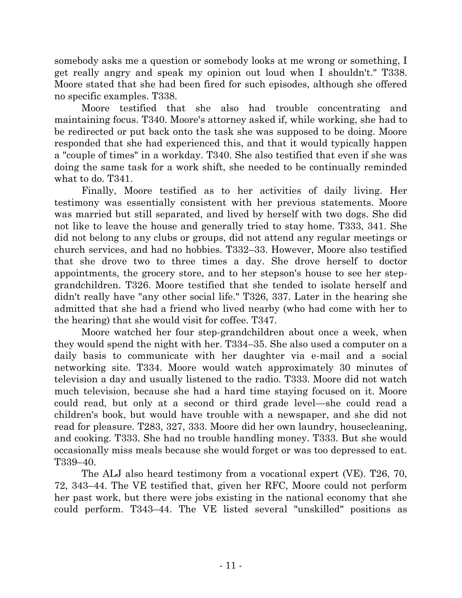somebody asks me a question or somebody looks at me wrong or something, I get really angry and speak my opinion out loud when I shouldn't." T338. Moore stated that she had been fired for such episodes, although she offered no specific examples. T338.

Moore testified that she also had trouble concentrating and maintaining focus. T340. Moore's attorney asked if, while working, she had to be redirected or put back onto the task she was supposed to be doing. Moore responded that she had experienced this, and that it would typically happen a "couple of times" in a workday. T340. She also testified that even if she was doing the same task for a work shift, she needed to be continually reminded what to do. T341.

Finally, Moore testified as to her activities of daily living. Her testimony was essentially consistent with her previous statements. Moore was married but still separated, and lived by herself with two dogs. She did not like to leave the house and generally tried to stay home. T333, 341. She did not belong to any clubs or groups, did not attend any regular meetings or church services, and had no hobbies. T332–33. However, Moore also testified that she drove two to three times a day. She drove herself to doctor appointments, the grocery store, and to her stepson's house to see her stepgrandchildren. T326. Moore testified that she tended to isolate herself and didn't really have "any other social life." T326, 337. Later in the hearing she admitted that she had a friend who lived nearby (who had come with her to the hearing) that she would visit for coffee. T347.

Moore watched her four step-grandchildren about once a week, when they would spend the night with her. T334–35. She also used a computer on a daily basis to communicate with her daughter via e-mail and a social networking site. T334. Moore would watch approximately 30 minutes of television a day and usually listened to the radio. T333. Moore did not watch much television, because she had a hard time staying focused on it. Moore could read, but only at a second or third grade level—she could read a children's book, but would have trouble with a newspaper, and she did not read for pleasure. T283, 327, 333. Moore did her own laundry, housecleaning, and cooking. T333. She had no trouble handling money. T333. But she would occasionally miss meals because she would forget or was too depressed to eat. T339–40.

The ALJ also heard testimony from a vocational expert (VE). T26, 70, 72, 343–44. The VE testified that, given her RFC, Moore could not perform her past work, but there were jobs existing in the national economy that she could perform. T343–44. The VE listed several "unskilled" positions as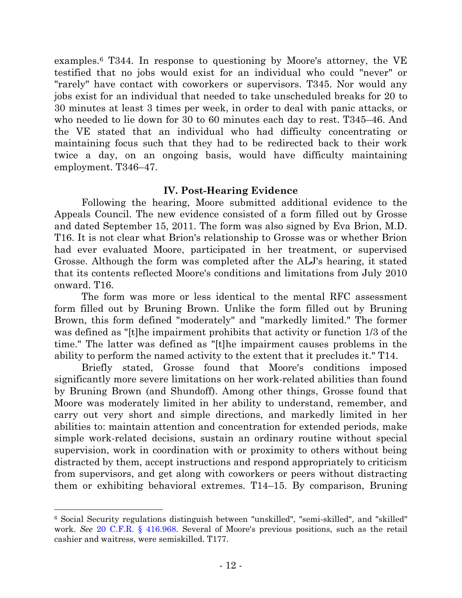examples.<sup>6</sup> T344. In response to questioning by Moore's attorney, the VE testified that no jobs would exist for an individual who could "never" or "rarely" have contact with coworkers or supervisors. T345. Nor would any jobs exist for an individual that needed to take unscheduled breaks for 20 to 30 minutes at least 3 times per week, in order to deal with panic attacks, or who needed to lie down for 30 to 60 minutes each day to rest. T345–46. And the VE stated that an individual who had difficulty concentrating or maintaining focus such that they had to be redirected back to their work twice a day, on an ongoing basis, would have difficulty maintaining employment. T346–47.

## **IV. Post-Hearing Evidence**

Following the hearing, Moore submitted additional evidence to the Appeals Council. The new evidence consisted of a form filled out by Grosse and dated September 15, 2011. The form was also signed by Eva Brion, M.D. T16. It is not clear what Brion's relationship to Grosse was or whether Brion had ever evaluated Moore, participated in her treatment, or supervised Grosse. Although the form was completed after the ALJ's hearing, it stated that its contents reflected Moore's conditions and limitations from July 2010 onward. T16.

The form was more or less identical to the mental RFC assessment form filled out by Bruning Brown. Unlike the form filled out by Bruning Brown, this form defined "moderately" and "markedly limited." The former was defined as "[t]he impairment prohibits that activity or function 1/3 of the time." The latter was defined as "[t]he impairment causes problems in the ability to perform the named activity to the extent that it precludes it." T14.

Briefly stated, Grosse found that Moore's conditions imposed significantly more severe limitations on her work-related abilities than found by Bruning Brown (and Shundoff). Among other things, Grosse found that Moore was moderately limited in her ability to understand, remember, and carry out very short and simple directions, and markedly limited in her abilities to: maintain attention and concentration for extended periods, make simple work-related decisions, sustain an ordinary routine without special supervision, work in coordination with or proximity to others without being distracted by them, accept instructions and respond appropriately to criticism from supervisors, and get along with coworkers or peers without distracting them or exhibiting behavioral extremes. T14–15. By comparison, Bruning

 <sup>6</sup> Social Security regulations distinguish between "unskilled", "semi-skilled", and "skilled" work. *See* [20 C.F.R. § 416.968.](http://westlaw.com/find/default.wl?ft=L&docname=20CFRS416.968&rs=btil2.0&rp=%2ffind%2fdefault.wl&fn=_top&findtype=L&vr=2.0&db=1000547&wbtoolsId=20CFRS416.968&HistoryType=F) Several of Moore's previous positions, such as the retail cashier and waitress, were semiskilled. T177.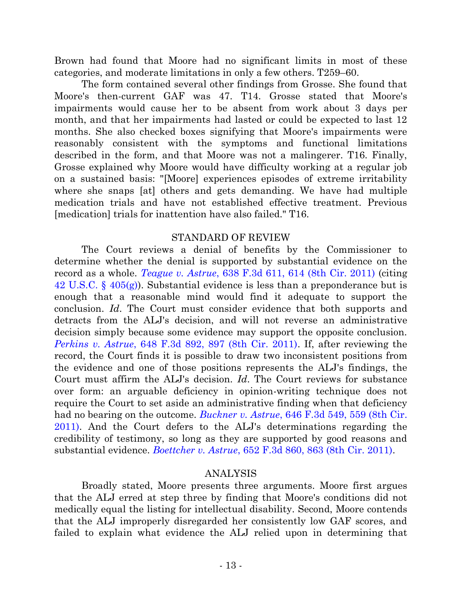Brown had found that Moore had no significant limits in most of these categories, and moderate limitations in only a few others. T259–60.

The form contained several other findings from Grosse. She found that Moore's then-current GAF was 47. T14. Grosse stated that Moore's impairments would cause her to be absent from work about 3 days per month, and that her impairments had lasted or could be expected to last 12 months. She also checked boxes signifying that Moore's impairments were reasonably consistent with the symptoms and functional limitations described in the form, and that Moore was not a malingerer. T16. Finally, Grosse explained why Moore would have difficulty working at a regular job on a sustained basis: "[Moore] experiences episodes of extreme irritability where she snaps [at] others and gets demanding. We have had multiple medication trials and have not established effective treatment. Previous [medication] trials for inattention have also failed." T16.

### STANDARD OF REVIEW

The Court reviews a denial of benefits by the Commissioner to determine whether the denial is supported by substantial evidence on the record as a whole. *Teague v. Astrue*[, 638 F.3d 611, 614 \(8th Cir. 2011\)](http://westlaw.com/find/default.wl?ft=Y&referencepositiontype=S&rs=btil2.0&rp=%2ffind%2fdefault.wl&serialnum=2025228822&fn=_top&referenceposition=614&findtype=Y&vr=2.0&db=0000506&wbtoolsId=2025228822&HistoryType=F) (citing [42 U.S.C. § 405\(g\)\)](http://westlaw.com/find/default.wl?ft=L&docname=42USCAS405&rs=btil2.0&rp=%2ffind%2fdefault.wl&fn=_top&findtype=L&vr=2.0&db=1000546&wbtoolsId=42USCAS405&HistoryType=F). Substantial evidence is less than a preponderance but is enough that a reasonable mind would find it adequate to support the conclusion. *Id*. The Court must consider evidence that both supports and detracts from the ALJ's decision, and will not reverse an administrative decision simply because some evidence may support the opposite conclusion. *Perkins v. Astrue*[, 648 F.3d 892, 897 \(8th Cir. 2011\).](http://westlaw.com/find/default.wl?ft=Y&referencepositiontype=S&rs=btil2.0&rp=%2ffind%2fdefault.wl&serialnum=2025845114&fn=_top&referenceposition=897&findtype=Y&vr=2.0&db=0000506&wbtoolsId=2025845114&HistoryType=F) If, after reviewing the record, the Court finds it is possible to draw two inconsistent positions from the evidence and one of those positions represents the ALJ's findings, the Court must affirm the ALJ's decision. *Id*. The Court reviews for substance over form: an arguable deficiency in opinion-writing technique does not require the Court to set aside an administrative finding when that deficiency had no bearing on the outcome. *Buckner v. Astrue*[, 646 F.3d 549, 559 \(8th Cir.](http://westlaw.com/find/default.wl?ft=Y&referencepositiontype=S&rs=btil2.0&rp=%2ffind%2fdefault.wl&serialnum=2025707618&fn=_top&referenceposition=559&findtype=Y&vr=2.0&db=0000506&wbtoolsId=2025707618&HistoryType=F)  [2011\).](http://westlaw.com/find/default.wl?ft=Y&referencepositiontype=S&rs=btil2.0&rp=%2ffind%2fdefault.wl&serialnum=2025707618&fn=_top&referenceposition=559&findtype=Y&vr=2.0&db=0000506&wbtoolsId=2025707618&HistoryType=F) And the Court defers to the ALJ's determinations regarding the credibility of testimony, so long as they are supported by good reasons and substantial evidence. *Boettcher v. Astrue*[, 652 F.3d 860, 863 \(8th Cir. 2011\).](http://westlaw.com/find/default.wl?ft=Y&referencepositiontype=S&rs=btil2.0&rp=%2ffind%2fdefault.wl&serialnum=2025965671&fn=_top&referenceposition=863&findtype=Y&vr=2.0&db=0000506&wbtoolsId=2025965671&HistoryType=F)

#### ANALYSIS

Broadly stated, Moore presents three arguments. Moore first argues that the ALJ erred at step three by finding that Moore's conditions did not medically equal the listing for intellectual disability. Second, Moore contends that the ALJ improperly disregarded her consistently low GAF scores, and failed to explain what evidence the ALJ relied upon in determining that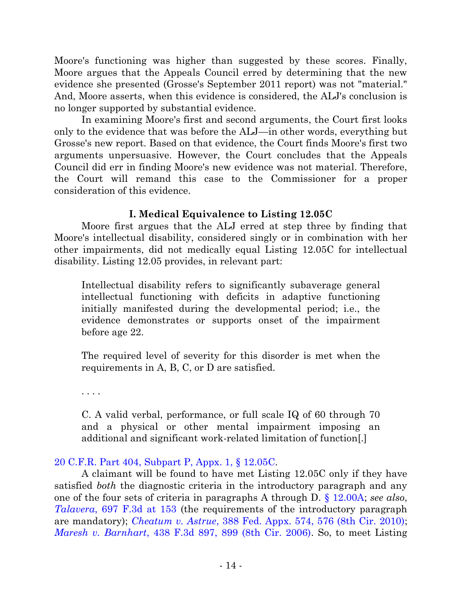Moore's functioning was higher than suggested by these scores. Finally, Moore argues that the Appeals Council erred by determining that the new evidence she presented (Grosse's September 2011 report) was not "material." And, Moore asserts, when this evidence is considered, the ALJ's conclusion is no longer supported by substantial evidence.

In examining Moore's first and second arguments, the Court first looks only to the evidence that was before the ALJ—in other words, everything but Grosse's new report. Based on that evidence, the Court finds Moore's first two arguments unpersuasive. However, the Court concludes that the Appeals Council did err in finding Moore's new evidence was not material. Therefore, the Court will remand this case to the Commissioner for a proper consideration of this evidence.

## **I. Medical Equivalence to Listing 12.05C**

Moore first argues that the ALJ erred at step three by finding that Moore's intellectual disability, considered singly or in combination with her other impairments, did not medically equal Listing 12.05C for intellectual disability. Listing 12.05 provides, in relevant part:

Intellectual disability refers to significantly subaverage general intellectual functioning with deficits in adaptive functioning initially manifested during the developmental period; i.e., the evidence demonstrates or supports onset of the impairment before age 22.

The required level of severity for this disorder is met when the requirements in A, B, C, or D are satisfied.

. . . .

C. A valid verbal, performance, or full scale IQ of 60 through 70 and a physical or other mental impairment imposing an additional and significant work-related limitation of function[.]

# 20 C.F.R. Part [404, Subpart P, Appx. 1, §](http://web2.westlaw.com/find/default.wl?cite=20+CFR+Pt.+404%2c+Subpt.+P%2c+App.+1&ft=Y&pbc=DA010192&vr=2.0&rs=WLW13.07&rp=%2ffind%2fdefault.wl&utid=1&fn=_top&mt=FederalGovernment&sv=Split) 12.05C.

A claimant will be found to have met Listing 12.05C only if they have satisfied *both* the diagnostic criteria in the introductory paragraph and any one of the four sets of criteria in paragraphs A through D. [§ 12.00A;](http://web2.westlaw.com/find/default.wl?cite=20+CFR+Pt.+404%2c+Subpt.+P%2c+App.+1&ft=Y&pbc=DA010192&vr=2.0&rs=WLW13.07&rp=%2ffind%2fdefault.wl&utid=1&fn=_top&mt=FederalGovernment&sv=Split) *see also*, *Talavera*[, 697 F.3d at 153](http://westlaw.com/find/default.wl?ft=Y&db=0000506&rs=btil2.0&rp=%2ffind%2fdefault.wl&serialnum=2028826025&fn=_top&findtype=Y&vr=2.0&wbtoolsId=2028826025&HistoryType=F) (the requirements of the introductory paragraph are mandatory); *Cheatum v. Astrue*[, 388 Fed. Appx. 574, 576](http://westlaw.com/find/default.wl?ft=Y&referencepositiontype=S&rs=btil2.0&rp=%2ffind%2fdefault.wl&serialnum=2022657389&fn=_top&referenceposition=576&findtype=Y&vr=2.0&db=0006538&wbtoolsId=2022657389&HistoryType=F) (8th Cir. 2010); *Maresh v. Barnhart*[, 438 F.3d 897, 899 \(8th Cir. 2006\).](http://westlaw.com/find/default.wl?ft=Y&referencepositiontype=S&rs=btil2.0&rp=%2ffind%2fdefault.wl&serialnum=2008548751&fn=_top&referenceposition=899&findtype=Y&vr=2.0&db=0000506&wbtoolsId=2008548751&HistoryType=F) So, to meet Listing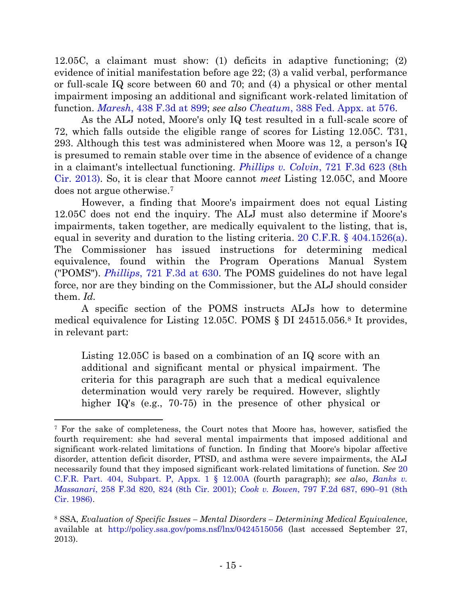12.05C, a claimant must show: (1) deficits in adaptive functioning; (2) evidence of initial manifestation before age 22; (3) a valid verbal, performance or full-scale IQ score between 60 and 70; and (4) a physical or other mental impairment imposing an additional and significant work-related limitation of function. *Maresh*[, 438 F.3d at 899;](http://westlaw.com/find/default.wl?ft=Y&referencepositiontype=S&rs=btil2.0&rp=%2ffind%2fdefault.wl&serialnum=2008548751&fn=_top&referenceposition=899&findtype=Y&vr=2.0&db=0000506&wbtoolsId=2008548751&HistoryType=F) *see also Cheatum*[, 388 Fed. Appx. at 576.](http://westlaw.com/find/default.wl?ft=Y&referencepositiontype=S&rs=btil2.0&rp=%2ffind%2fdefault.wl&serialnum=2022657389&fn=_top&referenceposition=576&findtype=Y&vr=2.0&db=0006538&wbtoolsId=2022657389&HistoryType=F)

As the ALJ noted, Moore's only IQ test resulted in a full-scale score of 72, which falls outside the eligible range of scores for Listing 12.05C. T31, 293. Although this test was administered when Moore was 12, a person's IQ is presumed to remain stable over time in the absence of evidence of a change in a claimant's intellectual functioning. *Phillips v. Colvin*[, 721 F.3d 623 \(8th](http://westlaw.com/find/default.wl?ft=Y&db=0000506&rs=btil2.0&rp=%2ffind%2fdefault.wl&serialnum=2031156149&fn=_top&findtype=Y&vr=2.0&wbtoolsId=2031156149&HistoryType=F)  [Cir. 2013\).](http://westlaw.com/find/default.wl?ft=Y&db=0000506&rs=btil2.0&rp=%2ffind%2fdefault.wl&serialnum=2031156149&fn=_top&findtype=Y&vr=2.0&wbtoolsId=2031156149&HistoryType=F) So, it is clear that Moore cannot *meet* Listing 12.05C, and Moore does not argue otherwise.<sup>7</sup>

However, a finding that Moore's impairment does not equal Listing 12.05C does not end the inquiry. The ALJ must also determine if Moore's impairments, taken together, are medically equivalent to the listing, that is, equal in severity and duration to the listing criteria. [20 C.F.R. § 404.1526\(a\).](http://westlaw.com/find/default.wl?ft=L&docname=20CFRS404.1526&rs=btil2.0&rp=%2ffind%2fdefault.wl&fn=_top&findtype=L&vr=2.0&db=1000547&wbtoolsId=20CFRS404.1526&HistoryType=F) The Commissioner has issued instructions for determining medical equivalence, found within the Program Operations Manual System ("POMS"). *Phillips*[, 721 F.3d at](http://westlaw.com/find/default.wl?ft=Y&db=0000506&rs=btil2.0&rp=%2ffind%2fdefault.wl&serialnum=2031156149&fn=_top&findtype=Y&vr=2.0&wbtoolsId=2031156149&HistoryType=F) 630. The POMS guidelines do not have legal force, nor are they binding on the Commissioner, but the ALJ should consider them. *Id.*

A specific section of the POMS instructs ALJs how to determine medical equivalence for Listing 12.05C. POMS § DI 24515.056.<sup>8</sup> It provides, in relevant part:

Listing 12.05C is based on a combination of an IQ score with an additional and significant mental or physical impairment. The criteria for this paragraph are such that a medical equivalence determination would very rarely be required. However, slightly higher IQ's (e.g., 70-75) in the presence of other physical or

<sup>7</sup> For the sake of completeness, the Court notes that Moore has, however, satisfied the fourth requirement: she had several mental impairments that imposed additional and significant work-related limitations of function. In finding that Moore's bipolar affective disorder, attention deficit disorder, PTSD, and asthma were severe impairments, the ALJ necessarily found that they imposed significant work-related limitations of function. *See* [20](http://web2.westlaw.com/find/default.wl?cite=20+CFR+Pt.+404%2c+Subpt.+P%2c+App.+1&ft=Y&pbc=DA010192&vr=2.0&rs=WLW13.07&rp=%2ffind%2fdefault.wl&utid=1&fn=_top&mt=FederalGovernment&sv=Split)  [C.F.R. Part. 404, Subpart. P, Appx. 1 § 12.00A](http://web2.westlaw.com/find/default.wl?cite=20+CFR+Pt.+404%2c+Subpt.+P%2c+App.+1&ft=Y&pbc=DA010192&vr=2.0&rs=WLW13.07&rp=%2ffind%2fdefault.wl&utid=1&fn=_top&mt=FederalGovernment&sv=Split) (fourth paragraph); *see also*, *[Banks v.](http://westlaw.com/find/default.wl?ft=Y&referencepositiontype=S&rs=btil2.0&rp=%2ffind%2fdefault.wl&serialnum=2001651669&fn=_top&referenceposition=824&findtype=Y&vr=2.0&db=0000506&wbtoolsId=2001651669&HistoryType=F)  Massanari*[, 258 F.3d 820, 824 \(8th Cir. 2001\);](http://westlaw.com/find/default.wl?ft=Y&referencepositiontype=S&rs=btil2.0&rp=%2ffind%2fdefault.wl&serialnum=2001651669&fn=_top&referenceposition=824&findtype=Y&vr=2.0&db=0000506&wbtoolsId=2001651669&HistoryType=F) *Cook v. Bowen*[, 797 F.2d 687,](http://westlaw.com/find/default.wl?ft=Y&referencepositiontype=S&rs=btil2.0&rp=%2ffind%2fdefault.wl&serialnum=1986139710&fn=_top&referenceposition=690&findtype=Y&vr=2.0&db=0000350&wbtoolsId=1986139710&HistoryType=F) 690–91 (8th [Cir. 1986\).](http://westlaw.com/find/default.wl?ft=Y&referencepositiontype=S&rs=btil2.0&rp=%2ffind%2fdefault.wl&serialnum=1986139710&fn=_top&referenceposition=690&findtype=Y&vr=2.0&db=0000350&wbtoolsId=1986139710&HistoryType=F)

<sup>8</sup> SSA, *Evaluation of Specific Issues – Mental Disorders – Determining Medical Equivalence*, available at <http://policy.ssa.gov/poms.nsf/lnx/0424515056> (last accessed September 27, 2013).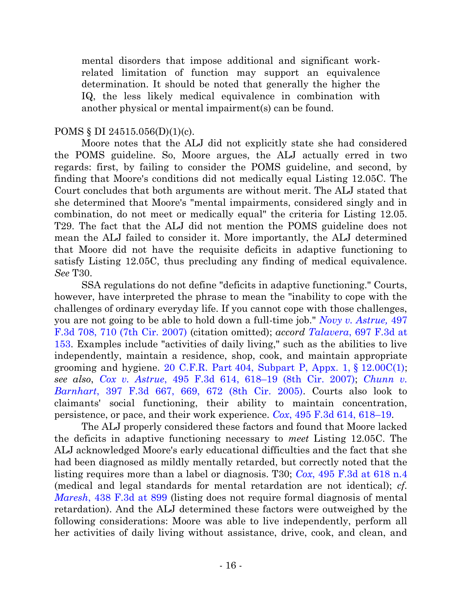mental disorders that impose additional and significant workrelated limitation of function may support an equivalence determination. It should be noted that generally the higher the IQ, the less likely medical equivalence in combination with another physical or mental impairment(s) can be found.

### POMS § DI 24515.056(D)(1)(c).

Moore notes that the ALJ did not explicitly state she had considered the POMS guideline. So, Moore argues, the ALJ actually erred in two regards: first, by failing to consider the POMS guideline, and second, by finding that Moore's conditions did not medically equal Listing 12.05C. The Court concludes that both arguments are without merit. The ALJ stated that she determined that Moore's "mental impairments, considered singly and in combination, do not meet or medically equal" the criteria for Listing 12.05. T29. The fact that the ALJ did not mention the POMS guideline does not mean the ALJ failed to consider it. More importantly, the ALJ determined that Moore did not have the requisite deficits in adaptive functioning to satisfy Listing 12.05C, thus precluding any finding of medical equivalence. *See* T30.

SSA regulations do not define "deficits in adaptive functioning." Courts, however, have interpreted the phrase to mean the "inability to cope with the challenges of ordinary everyday life. If you cannot cope with those challenges, you are not going to be able to hold down a full-time job." *[Novy v. Astrue,](http://westlaw.com/find/default.wl?ft=Y&referencepositiontype=S&rs=btil2.0&rp=%2ffind%2fdefault.wl&serialnum=2012907617&fn=_top&referenceposition=710&findtype=Y&vr=2.0&db=0000506&wbtoolsId=2012907617&HistoryType=F)* 497 [F.3d 708, 710 \(7th Cir. 2007\)](http://westlaw.com/find/default.wl?ft=Y&referencepositiontype=S&rs=btil2.0&rp=%2ffind%2fdefault.wl&serialnum=2012907617&fn=_top&referenceposition=710&findtype=Y&vr=2.0&db=0000506&wbtoolsId=2012907617&HistoryType=F) (citation omitted); *accord Talavera*[, 697 F.3d at](http://westlaw.com/find/default.wl?ft=Y&db=0000506&rs=btil2.0&rp=%2ffind%2fdefault.wl&serialnum=2028826025&fn=_top&findtype=Y&vr=2.0&wbtoolsId=2028826025&HistoryType=F)  [153.](http://westlaw.com/find/default.wl?ft=Y&db=0000506&rs=btil2.0&rp=%2ffind%2fdefault.wl&serialnum=2028826025&fn=_top&findtype=Y&vr=2.0&wbtoolsId=2028826025&HistoryType=F) Examples include "activities of daily living," such as the abilities to live independently, maintain a residence, shop, cook, and maintain appropriate grooming and hygiene.  $20 \text{ C.F.R. Part } 404$ , Subpart P, Appx. 1, §  $12.00 \text{C}(1)$ ; *see also*, *Cox v. Astrue*[, 495 F.3d 614, 618](http://westlaw.com/find/default.wl?ft=Y&referencepositiontype=S&rs=btil2.0&rp=%2ffind%2fdefault.wl&serialnum=2012780934&fn=_top&referenceposition=618&findtype=Y&vr=2.0&db=0000506&wbtoolsId=2012780934&HistoryType=F)–19 (8th Cir. 2007); *[Chunn v.](http://westlaw.com/find/default.wl?ft=Y&referencepositiontype=S&rs=btil2.0&rp=%2ffind%2fdefault.wl&serialnum=2006209229&fn=_top&referenceposition=669&findtype=Y&vr=2.0&db=0000506&wbtoolsId=2006209229&HistoryType=F)  Barnhart*[, 397 F.3d 667, 669, 672 \(8th Cir. 2005\).](http://westlaw.com/find/default.wl?ft=Y&referencepositiontype=S&rs=btil2.0&rp=%2ffind%2fdefault.wl&serialnum=2006209229&fn=_top&referenceposition=669&findtype=Y&vr=2.0&db=0000506&wbtoolsId=2006209229&HistoryType=F) Courts also look to claimants' social functioning, their ability to maintain concentration, persistence, or pace, and their work experience. *Cox*[, 495 F.3d 614, 618](http://westlaw.com/find/default.wl?ft=Y&referencepositiontype=S&rs=btil2.0&rp=%2ffind%2fdefault.wl&serialnum=2012780934&fn=_top&referenceposition=618&findtype=Y&vr=2.0&db=0000506&wbtoolsId=2012780934&HistoryType=F)–19.

The ALJ properly considered these factors and found that Moore lacked the deficits in adaptive functioning necessary to *meet* Listing 12.05C. The ALJ acknowledged Moore's early educational difficulties and the fact that she had been diagnosed as mildly mentally retarded, but correctly noted that the listing requires more than a label or diagnosis. T30; *Cox*[, 495 F.3d at 618 n.4](http://westlaw.com/find/default.wl?ft=Y&referencepositiontype=S&rs=btil2.0&rp=%2ffind%2fdefault.wl&serialnum=2012780934&fn=_top&referenceposition=618&findtype=Y&vr=2.0&db=0000506&wbtoolsId=2012780934&HistoryType=F) (medical and legal standards for mental retardation are not identical); *cf. Maresh*[, 438 F.3d at 899](http://westlaw.com/find/default.wl?ft=Y&referencepositiontype=S&rs=btil2.0&rp=%2ffind%2fdefault.wl&serialnum=2008548751&fn=_top&referenceposition=899&findtype=Y&vr=2.0&db=0000506&wbtoolsId=2008548751&HistoryType=F) (listing does not require formal diagnosis of mental retardation). And the ALJ determined these factors were outweighed by the following considerations: Moore was able to live independently, perform all her activities of daily living without assistance, drive, cook, and clean, and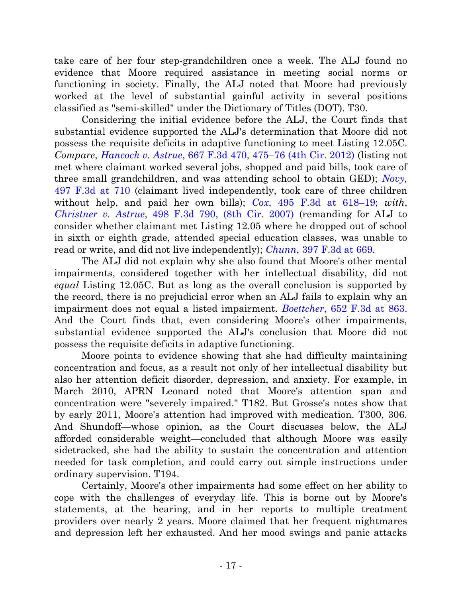take care of her four step-grandchildren once a week. The ALJ found no evidence that Moore required assistance in meeting social norms or functioning in society. Finally, the ALJ noted that Moore had previously worked at the level of substantial gainful activity in several positions classified as "semi-skilled" under the Dictionary of Titles (DOT). T30.

Considering the initial evidence before the ALJ, the Court finds that substantial evidence supported the ALJ's determination that Moore did not possess the requisite deficits in adaptive functioning to meet Listing 12.05C. *Compare*, *Hancock v. Astrue*[, 667 F.3d 470, 475](http://westlaw.com/find/default.wl?ft=Y&referencepositiontype=S&rs=btil2.0&rp=%2ffind%2fdefault.wl&serialnum=2026811899&fn=_top&referenceposition=475&findtype=Y&vr=2.0&db=0000506&wbtoolsId=2026811899&HistoryType=F)–76 (4th Cir. 2012) (listing not met where claimant worked several jobs, shopped and paid bills, took care of three small grandchildren, and was attending school to obtain GED); *[Novy,](http://westlaw.com/find/default.wl?ft=Y&referencepositiontype=S&rs=btil2.0&rp=%2ffind%2fdefault.wl&serialnum=2012907617&fn=_top&referenceposition=710&findtype=Y&vr=2.0&db=0000506&wbtoolsId=2012907617&HistoryType=F)*  [497 F.3d at 710](http://westlaw.com/find/default.wl?ft=Y&referencepositiontype=S&rs=btil2.0&rp=%2ffind%2fdefault.wl&serialnum=2012907617&fn=_top&referenceposition=710&findtype=Y&vr=2.0&db=0000506&wbtoolsId=2012907617&HistoryType=F) (claimant lived independently, took care of three children without help, and paid her own bills); *Cox*[, 495 F.3d at 618](http://westlaw.com/find/default.wl?ft=Y&referencepositiontype=S&rs=btil2.0&rp=%2ffind%2fdefault.wl&serialnum=2012780934&fn=_top&referenceposition=618&findtype=Y&vr=2.0&db=0000506&wbtoolsId=2012780934&HistoryType=F)–19; *with*, *Christner v. Astrue*[, 498 F.3d 790, \(8th Cir. 2007\)](http://westlaw.com/find/default.wl?ft=Y&db=0000506&rs=btil2.0&rp=%2ffind%2fdefault.wl&serialnum=2012925914&fn=_top&findtype=Y&vr=2.0&wbtoolsId=2012925914&HistoryType=F) (remanding for ALJ to consider whether claimant met Listing 12.05 where he dropped out of school in sixth or eighth grade, attended special education classes, was unable to read or write, and did not live independently); *Chunn*, [397 F.3d at 669.](http://westlaw.com/find/default.wl?ft=Y&referencepositiontype=S&rs=btil2.0&rp=%2ffind%2fdefault.wl&serialnum=2006209229&fn=_top&referenceposition=669&findtype=Y&vr=2.0&db=0000506&wbtoolsId=2006209229&HistoryType=F)

The ALJ did not explain why she also found that Moore's other mental impairments, considered together with her intellectual disability, did not *equal* Listing 12.05C. But as long as the overall conclusion is supported by the record, there is no prejudicial error when an ALJ fails to explain why an impairment does not equal a listed impairment. *Boettcher*[, 652 F.3d at 863.](http://westlaw.com/find/default.wl?ft=Y&referencepositiontype=S&rs=btil2.0&rp=%2ffind%2fdefault.wl&serialnum=2025965671&fn=_top&referenceposition=863&findtype=Y&vr=2.0&db=0000506&wbtoolsId=2025965671&HistoryType=F) And the Court finds that, even considering Moore's other impairments, substantial evidence supported the ALJ's conclusion that Moore did not possess the requisite deficits in adaptive functioning.

Moore points to evidence showing that she had difficulty maintaining concentration and focus, as a result not only of her intellectual disability but also her attention deficit disorder, depression, and anxiety. For example, in March 2010, APRN Leonard noted that Moore's attention span and concentration were "severely impaired." T182. But Grosse's notes show that by early 2011, Moore's attention had improved with medication. T300, 306. And Shundoff—whose opinion, as the Court discusses below, the ALJ afforded considerable weight—concluded that although Moore was easily sidetracked, she had the ability to sustain the concentration and attention needed for task completion, and could carry out simple instructions under ordinary supervision. T194.

Certainly, Moore's other impairments had some effect on her ability to cope with the challenges of everyday life. This is borne out by Moore's statements, at the hearing, and in her reports to multiple treatment providers over nearly 2 years. Moore claimed that her frequent nightmares and depression left her exhausted. And her mood swings and panic attacks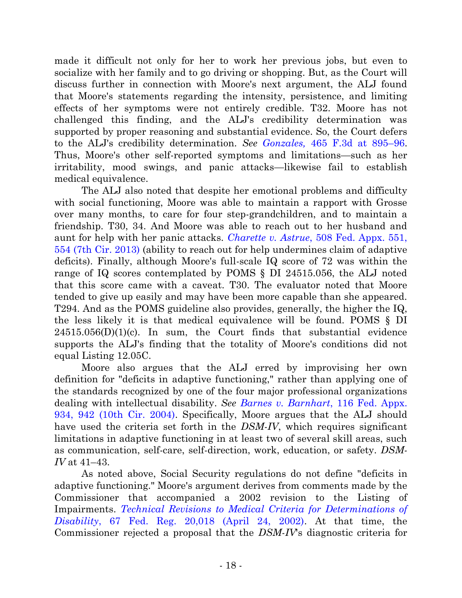made it difficult not only for her to work her previous jobs, but even to socialize with her family and to go driving or shopping. But, as the Court will discuss further in connection with Moore's next argument, the ALJ found that Moore's statements regarding the intensity, persistence, and limiting effects of her symptoms were not entirely credible. T32. Moore has not challenged this finding, and the ALJ's credibility determination was supported by proper reasoning and substantial evidence. So, the Court defers to the ALJ's credibility determination. *See Gonzales,* [465 F.3d at 895](http://westlaw.com/find/default.wl?ft=Y&referencepositiontype=S&rs=btil2.0&rp=%2ffind%2fdefault.wl&serialnum=2010493996&fn=_top&referenceposition=894&findtype=Y&vr=2.0&db=0000506&wbtoolsId=2010493996&HistoryType=F)–96. Thus, Moore's other self-reported symptoms and limitations—such as her irritability, mood swings, and panic attacks—likewise fail to establish medical equivalence.

The ALJ also noted that despite her emotional problems and difficulty with social functioning, Moore was able to maintain a rapport with Grosse over many months, to care for four step-grandchildren, and to maintain a friendship. T30, 34. And Moore was able to reach out to her husband and aunt for help with her panic attacks. *Charette v. Astrue*[, 508 Fed. Appx. 551,](http://westlaw.com/find/default.wl?ft=Y&referencepositiontype=S&rs=btil2.0&rp=%2ffind%2fdefault.wl&serialnum=2029864118&fn=_top&referenceposition=553&findtype=Y&vr=2.0&db=0006538&wbtoolsId=2029864118&HistoryType=F)  [554 \(7th Cir. 2013\)](http://westlaw.com/find/default.wl?ft=Y&referencepositiontype=S&rs=btil2.0&rp=%2ffind%2fdefault.wl&serialnum=2029864118&fn=_top&referenceposition=553&findtype=Y&vr=2.0&db=0006538&wbtoolsId=2029864118&HistoryType=F) (ability to reach out for help undermines claim of adaptive deficits). Finally, although Moore's full-scale IQ score of 72 was within the range of IQ scores contemplated by POMS § DI 24515.056, the ALJ noted that this score came with a caveat. T30. The evaluator noted that Moore tended to give up easily and may have been more capable than she appeared. T294. And as the POMS guideline also provides, generally, the higher the IQ, the less likely it is that medical equivalence will be found. POMS § DI  $24515.056(D)(1)(c)$ . In sum, the Court finds that substantial evidence supports the ALJ's finding that the totality of Moore's conditions did not equal Listing 12.05C.

Moore also argues that the ALJ erred by improvising her own definition for "deficits in adaptive functioning," rather than applying one of the standards recognized by one of the four major professional organizations dealing with intellectual disability. *See [Barnes v. Barnhart](http://westlaw.com/find/default.wl?ft=Y&referencepositiontype=S&rs=btil2.0&rp=%2ffind%2fdefault.wl&serialnum=2005585639&fn=_top&referenceposition=942&findtype=Y&vr=2.0&db=0006538&wbtoolsId=2005585639&HistoryType=F)*, 116 Fed. Appx. [934, 942 \(10th Cir. 2004\).](http://westlaw.com/find/default.wl?ft=Y&referencepositiontype=S&rs=btil2.0&rp=%2ffind%2fdefault.wl&serialnum=2005585639&fn=_top&referenceposition=942&findtype=Y&vr=2.0&db=0006538&wbtoolsId=2005585639&HistoryType=F) Specifically, Moore argues that the ALJ should have used the criteria set forth in the *DSM-IV*, which requires significant limitations in adaptive functioning in at least two of several skill areas, such as communication, self-care, self-direction, work, education, or safety. *DSM-IV* at 41–43.

As noted above, Social Security regulations do not define "deficits in adaptive functioning." Moore's argument derives from comments made by the Commissioner that accompanied a 2002 revision to the Listing of Impairments. *[Technical Revisions to Medical Criteria for Determinations of](http://web2.westlaw.com/find/default.wl?cite=67+FR+20018-01&rs=WLW13.07&pbc=DA010192&vr=2.0&rp=%2ffind%2fdefault.wl&utid=1&fn=_top&mt=FederalGovernment&sv=Split)  Disability*[, 67 Fed. Reg. 20,018 \(April 24, 2002\).](http://web2.westlaw.com/find/default.wl?cite=67+FR+20018-01&rs=WLW13.07&pbc=DA010192&vr=2.0&rp=%2ffind%2fdefault.wl&utid=1&fn=_top&mt=FederalGovernment&sv=Split) At that time, the Commissioner rejected a proposal that the *DSM-IV*'s diagnostic criteria for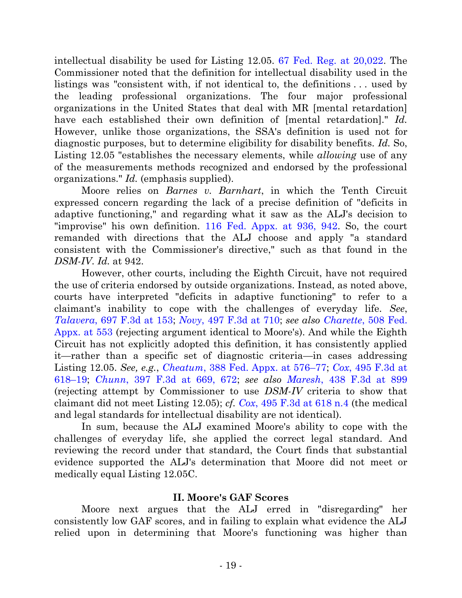intellectual disability be used for Listing 12.05. [67 Fed. Reg. at 20,022.](http://web2.westlaw.com/find/default.wl?cite=67+FR+20018-01&rs=WLW13.07&pbc=DA010192&vr=2.0&rp=%2ffind%2fdefault.wl&utid=1&fn=_top&mt=FederalGovernment&sv=Split) The Commissioner noted that the definition for intellectual disability used in the listings was "consistent with, if not identical to, the definitions . . . used by the leading professional organizations. The four major professional organizations in the United States that deal with MR [mental retardation] have each established their own definition of [mental retardation]." *Id.* However, unlike those organizations, the SSA's definition is used not for diagnostic purposes, but to determine eligibility for disability benefits. *Id.* So, Listing 12.05 "establishes the necessary elements, while *allowing* use of any of the measurements methods recognized and endorsed by the professional organizations." *Id.* (emphasis supplied).

Moore relies on *Barnes v. Barnhart*, in which the Tenth Circuit expressed concern regarding the lack of a precise definition of "deficits in adaptive functioning," and regarding what it saw as the ALJ's decision to "improvise" his own definition. [116 Fed. Appx. at 936, 942.](http://westlaw.com/find/default.wl?ft=Y&referencepositiontype=S&rs=btil2.0&rp=%2ffind%2fdefault.wl&serialnum=2005585639&fn=_top&referenceposition=942&findtype=Y&vr=2.0&db=0006538&wbtoolsId=2005585639&HistoryType=F) So, the court remanded with directions that the ALJ choose and apply "a standard consistent with the Commissioner's directive," such as that found in the *DSM-IV*. *Id.* at 942.

However, other courts, including the Eighth Circuit, have not required the use of criteria endorsed by outside organizations. Instead, as noted above, courts have interpreted "deficits in adaptive functioning" to refer to a claimant's inability to cope with the challenges of everyday life. *See*, *Talavera*[, 697 F.3d at 153;](http://westlaw.com/find/default.wl?ft=Y&db=0000506&rs=btil2.0&rp=%2ffind%2fdefault.wl&serialnum=2028826025&fn=_top&findtype=Y&vr=2.0&wbtoolsId=2028826025&HistoryType=F) *Novy*[, 497 F.3d at 710;](http://westlaw.com/find/default.wl?ft=Y&referencepositiontype=S&rs=btil2.0&rp=%2ffind%2fdefault.wl&serialnum=2012907617&fn=_top&referenceposition=710&findtype=Y&vr=2.0&db=0000506&wbtoolsId=2012907617&HistoryType=F) *see also Charette*[, 508 Fed.](http://westlaw.com/find/default.wl?ft=Y&referencepositiontype=S&rs=btil2.0&rp=%2ffind%2fdefault.wl&serialnum=2029864118&fn=_top&referenceposition=553&findtype=Y&vr=2.0&db=0006538&wbtoolsId=2029864118&HistoryType=F)  [Appx. at 553](http://westlaw.com/find/default.wl?ft=Y&referencepositiontype=S&rs=btil2.0&rp=%2ffind%2fdefault.wl&serialnum=2029864118&fn=_top&referenceposition=553&findtype=Y&vr=2.0&db=0006538&wbtoolsId=2029864118&HistoryType=F) (rejecting argument identical to Moore's). And while the Eighth Circuit has not explicitly adopted this definition, it has consistently applied it—rather than a specific set of diagnostic criteria—in cases addressing Listing 12.05. *See, e.g.*, *Cheatum*[, 388 Fed. Appx. at 576](http://web2.westlaw.com/find/default.wl?cite=388+Fed.Appx.+574&rs=WLW13.07&vr=2.0&rp=%2ffind%2fdefault.wl&utid=1&fn=_top&mt=FederalGovernment&sv=Split)–77; *Cox*[, 495 F.3d at](http://westlaw.com/find/default.wl?ft=Y&referencepositiontype=S&rs=btil2.0&rp=%2ffind%2fdefault.wl&serialnum=2012780934&fn=_top&referenceposition=618&findtype=Y&vr=2.0&db=0000506&wbtoolsId=2012780934&HistoryType=F)  [618](http://westlaw.com/find/default.wl?ft=Y&referencepositiontype=S&rs=btil2.0&rp=%2ffind%2fdefault.wl&serialnum=2012780934&fn=_top&referenceposition=618&findtype=Y&vr=2.0&db=0000506&wbtoolsId=2012780934&HistoryType=F)–19; *Chunn*[, 397 F.3d at 669, 672;](http://westlaw.com/find/default.wl?ft=Y&referencepositiontype=S&rs=btil2.0&rp=%2ffind%2fdefault.wl&serialnum=2006209229&fn=_top&referenceposition=669&findtype=Y&vr=2.0&db=0000506&wbtoolsId=2006209229&HistoryType=F) *see also Maresh*[, 438 F.3d at 899](http://westlaw.com/find/default.wl?ft=Y&referencepositiontype=S&rs=btil2.0&rp=%2ffind%2fdefault.wl&serialnum=2008548751&fn=_top&referenceposition=899&findtype=Y&vr=2.0&db=0000506&wbtoolsId=2008548751&HistoryType=F/) (rejecting attempt by Commissioner to use *DSM-IV* criteria to show that claimant did not meet Listing 12.05); *cf. Cox*[, 495 F.3d at 618 n.4](http://westlaw.com/find/default.wl?ft=Y&referencepositiontype=S&rs=btil2.0&rp=%2ffind%2fdefault.wl&serialnum=2012780934&fn=_top&referenceposition=618&findtype=Y&vr=2.0&db=0000506&wbtoolsId=2012780934&HistoryType=F) (the medical and legal standards for intellectual disability are not identical).

In sum, because the ALJ examined Moore's ability to cope with the challenges of everyday life, she applied the correct legal standard. And reviewing the record under that standard, the Court finds that substantial evidence supported the ALJ's determination that Moore did not meet or medically equal Listing 12.05C.

## **II. Moore's GAF Scores**

Moore next argues that the ALJ erred in "disregarding" her consistently low GAF scores, and in failing to explain what evidence the ALJ relied upon in determining that Moore's functioning was higher than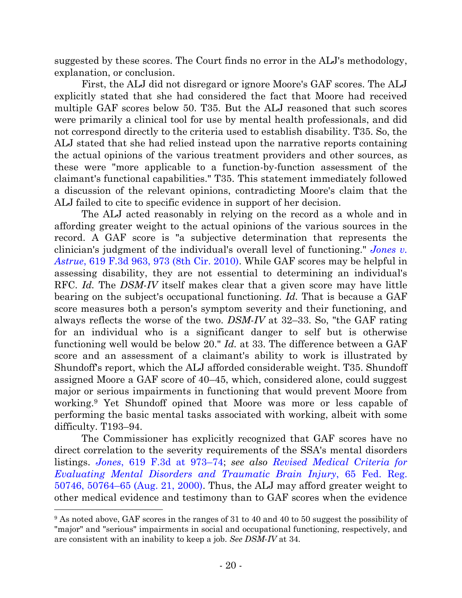suggested by these scores. The Court finds no error in the ALJ's methodology, explanation, or conclusion.

First, the ALJ did not disregard or ignore Moore's GAF scores. The ALJ explicitly stated that she had considered the fact that Moore had received multiple GAF scores below 50. T35. But the ALJ reasoned that such scores were primarily a clinical tool for use by mental health professionals, and did not correspond directly to the criteria used to establish disability. T35. So, the ALJ stated that she had relied instead upon the narrative reports containing the actual opinions of the various treatment providers and other sources, as these were "more applicable to a function-by-function assessment of the claimant's functional capabilities." T35. This statement immediately followed a discussion of the relevant opinions, contradicting Moore's claim that the ALJ failed to cite to specific evidence in support of her decision.

The ALJ acted reasonably in relying on the record as a whole and in affording greater weight to the actual opinions of the various sources in the record. A GAF score is "a subjective determination that represents the clinician's judgment of the individual's overall level of functioning." *[Jones v.](http://westlaw.com/find/default.wl?ft=Y&referencepositiontype=S&rs=btil2.0&rp=%2ffind%2fdefault.wl&serialnum=2022882692&fn=_top&referenceposition=973&findtype=Y&vr=2.0&db=0000506&wbtoolsId=2022882692&HistoryType=F)  Astrue*[, 619 F.3d 963, 973 \(8th Cir. 2010\).](http://westlaw.com/find/default.wl?ft=Y&referencepositiontype=S&rs=btil2.0&rp=%2ffind%2fdefault.wl&serialnum=2022882692&fn=_top&referenceposition=973&findtype=Y&vr=2.0&db=0000506&wbtoolsId=2022882692&HistoryType=F) While GAF scores may be helpful in assessing disability, they are not essential to determining an individual's RFC. *Id.* The *DSM-IV* itself makes clear that a given score may have little bearing on the subject's occupational functioning. *Id.* That is because a GAF score measures both a person's symptom severity and their functioning, and always reflects the worse of the two. *DSM-IV* at 32–33. So, "the GAF rating for an individual who is a significant danger to self but is otherwise functioning well would be below 20." *Id.* at 33. The difference between a GAF score and an assessment of a claimant's ability to work is illustrated by Shundoff's report, which the ALJ afforded considerable weight. T35. Shundoff assigned Moore a GAF score of 40–45, which, considered alone, could suggest major or serious impairments in functioning that would prevent Moore from working.<sup>9</sup> Yet Shundoff opined that Moore was more or less capable of performing the basic mental tasks associated with working, albeit with some difficulty. T193–94.

The Commissioner has explicitly recognized that GAF scores have no direct correlation to the severity requirements of the SSA's mental disorders listings. *Jones*[, 619 F.3d at 973](http://westlaw.com/find/default.wl?ft=Y&referencepositiontype=S&rs=btil2.0&rp=%2ffind%2fdefault.wl&serialnum=2022882692&fn=_top&referenceposition=973&findtype=Y&vr=2.0&db=0000506&wbtoolsId=2022882692&HistoryType=F)–74; *see also [Revised Medical Criteria for](http://web2.westlaw.com/find/default.wl?cite=65+Fed.+Reg.+50746&rs=WLW13.07&vr=2.0&rp=%2ffind%2fdefault.wl&utid=1&fn=_top&mt=FederalGovernment&sv=Split)  [Evaluating Mental Disorders and Traumatic Brain Injury](http://web2.westlaw.com/find/default.wl?cite=65+Fed.+Reg.+50746&rs=WLW13.07&vr=2.0&rp=%2ffind%2fdefault.wl&utid=1&fn=_top&mt=FederalGovernment&sv=Split)*, 65 Fed. Reg. 50746, 50764–[65 \(Aug. 21, 2000\).](http://web2.westlaw.com/find/default.wl?cite=65+Fed.+Reg.+50746&rs=WLW13.07&vr=2.0&rp=%2ffind%2fdefault.wl&utid=1&fn=_top&mt=FederalGovernment&sv=Split) Thus, the ALJ may afford greater weight to other medical evidence and testimony than to GAF scores when the evidence

<sup>9</sup> As noted above, GAF scores in the ranges of 31 to 40 and 40 to 50 suggest the possibility of "major" and "serious" impairments in social and occupational functioning, respectively, and are consistent with an inability to keep a job. *See DSM-IV* at 34.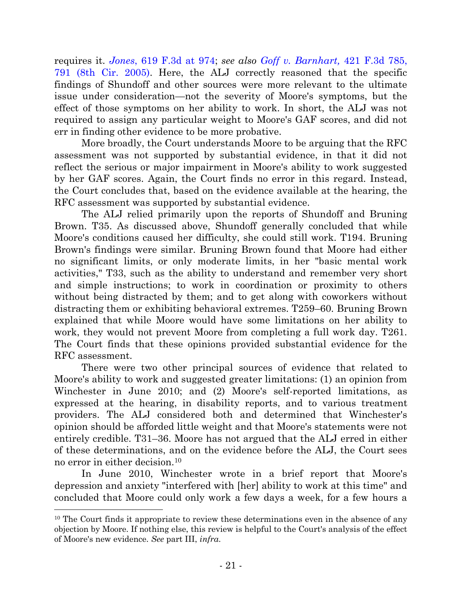requires it. *Jones*[, 619 F.3d at 974;](http://westlaw.com/find/default.wl?ft=Y&referencepositiontype=S&rs=btil2.0&rp=%2ffind%2fdefault.wl&serialnum=2022882692&fn=_top&referenceposition=973&findtype=Y&vr=2.0&db=0000506&wbtoolsId=2022882692&HistoryType=F) *see also [Goff v. Barnhart,](http://westlaw.com/find/default.wl?ft=Y&referencepositiontype=S&rs=btil2.0&rp=%2ffind%2fdefault.wl&serialnum=2007218720&fn=_top&referenceposition=791&findtype=Y&vr=2.0&db=0000506&wbtoolsId=2007218720&HistoryType=F)* 421 F.3d 785, [791 \(8th Cir. 2005\).](http://westlaw.com/find/default.wl?ft=Y&referencepositiontype=S&rs=btil2.0&rp=%2ffind%2fdefault.wl&serialnum=2007218720&fn=_top&referenceposition=791&findtype=Y&vr=2.0&db=0000506&wbtoolsId=2007218720&HistoryType=F) Here, the ALJ correctly reasoned that the specific findings of Shundoff and other sources were more relevant to the ultimate issue under consideration—not the severity of Moore's symptoms, but the effect of those symptoms on her ability to work. In short, the ALJ was not required to assign any particular weight to Moore's GAF scores, and did not err in finding other evidence to be more probative.

More broadly, the Court understands Moore to be arguing that the RFC assessment was not supported by substantial evidence, in that it did not reflect the serious or major impairment in Moore's ability to work suggested by her GAF scores. Again, the Court finds no error in this regard. Instead, the Court concludes that, based on the evidence available at the hearing, the RFC assessment was supported by substantial evidence.

The ALJ relied primarily upon the reports of Shundoff and Bruning Brown. T35. As discussed above, Shundoff generally concluded that while Moore's conditions caused her difficulty, she could still work. T194. Bruning Brown's findings were similar. Bruning Brown found that Moore had either no significant limits, or only moderate limits, in her "basic mental work activities," T33, such as the ability to understand and remember very short and simple instructions; to work in coordination or proximity to others without being distracted by them; and to get along with coworkers without distracting them or exhibiting behavioral extremes. T259–60. Bruning Brown explained that while Moore would have some limitations on her ability to work, they would not prevent Moore from completing a full work day. T261. The Court finds that these opinions provided substantial evidence for the RFC assessment.

There were two other principal sources of evidence that related to Moore's ability to work and suggested greater limitations: (1) an opinion from Winchester in June 2010; and (2) Moore's self-reported limitations, as expressed at the hearing, in disability reports, and to various treatment providers. The ALJ considered both and determined that Winchester's opinion should be afforded little weight and that Moore's statements were not entirely credible. T31–36. Moore has not argued that the ALJ erred in either of these determinations, and on the evidence before the ALJ, the Court sees no error in either decision.<sup>10</sup>

In June 2010, Winchester wrote in a brief report that Moore's depression and anxiety "interfered with [her] ability to work at this time" and concluded that Moore could only work a few days a week, for a few hours a

<sup>&</sup>lt;sup>10</sup> The Court finds it appropriate to review these determinations even in the absence of any objection by Moore. If nothing else, this review is helpful to the Court's analysis of the effect of Moore's new evidence. *See* part III, *infra*.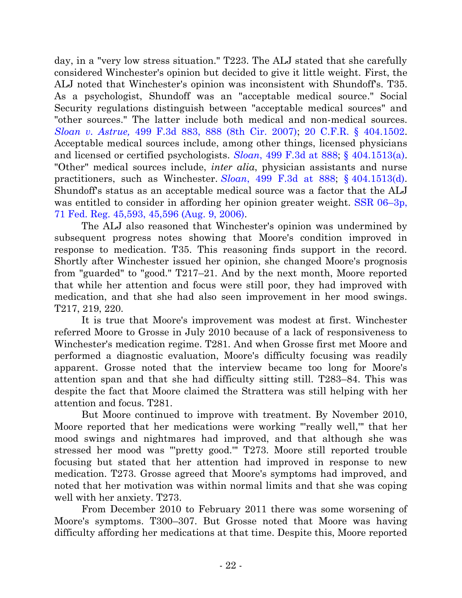day, in a "very low stress situation." T223. The ALJ stated that she carefully considered Winchester's opinion but decided to give it little weight. First, the ALJ noted that Winchester's opinion was inconsistent with Shundoff's. T35. As a psychologist, Shundoff was an "acceptable medical source." Social Security regulations distinguish between "acceptable medical sources" and "other sources." The latter include both medical and non-medical sources. *Sloan v. Astrue,* [499 F.3d 883, 888 \(8th Cir. 2007\);](http://westlaw.com/find/default.wl?ft=Y&referencepositiontype=S&rs=btil2.0&rp=%2ffind%2fdefault.wl&serialnum=2012960673&fn=_top&referenceposition=888&findtype=Y&vr=2.0&db=0000506&wbtoolsId=2012960673&HistoryType=F) [20 C.F.R. § 404.1502.](http://westlaw.com/find/default.wl?ft=L&docname=20CFRS404.1502&rs=btil2.0&rp=%2ffind%2fdefault.wl&fn=_top&findtype=L&vr=2.0&db=1000547&wbtoolsId=20CFRS404.1502&HistoryType=F) Acceptable medical sources include, among other things, licensed physicians and licensed or certified psychologists. *Sloan*[, 499 F.3d at 888;](http://westlaw.com/find/default.wl?ft=Y&referencepositiontype=S&rs=btil2.0&rp=%2ffind%2fdefault.wl&serialnum=2012960673&fn=_top&referenceposition=888&findtype=Y&vr=2.0&db=0000506&wbtoolsId=2012960673&HistoryType=F) [§ 404.1513\(a\).](http://web2.westlaw.com/find/default.wl?cite=20+c.f.r.+s+404.1513&rs=WLW13.07&pbc=DA010192&vr=2.0&rp=%2ffind%2fdefault.wl&utid=1&fn=_top&mt=FederalGovernment&sv=Split) "Other" medical sources include, *inter alia*, physician assistants and nurse practitioners, such as Winchester. *Sloan*[, 499 F.3d at 888;](http://westlaw.com/find/default.wl?ft=Y&referencepositiontype=S&rs=btil2.0&rp=%2ffind%2fdefault.wl&serialnum=2012960673&fn=_top&referenceposition=888&findtype=Y&vr=2.0&db=0000506&wbtoolsId=2012960673&HistoryType=F) § [404.1513\(d\).](http://web2.westlaw.com/find/default.wl?cite=20+c.f.r.+s+404.1513&rs=WLW13.07&pbc=DA010192&vr=2.0&rp=%2ffind%2fdefault.wl&utid=1&fn=_top&mt=FederalGovernment&sv=Split) Shundoff's status as an acceptable medical source was a factor that the ALJ was entitled to consider in affording her opinion greater weight. [SSR 06](http://web2.westlaw.com/find/default.wl?cite=71+FR+45593-03&rs=WLW13.07&pbc=E312021D&vr=2.0&rp=%2ffind%2fdefault.wl&utid=1&fn=_top&mt=FederalGovernment&sv=Split)-3p, [71 Fed. Reg. 45,593, 45,596](http://web2.westlaw.com/find/default.wl?cite=71+FR+45593-03&rs=WLW13.07&pbc=E312021D&vr=2.0&rp=%2ffind%2fdefault.wl&utid=1&fn=_top&mt=FederalGovernment&sv=Split) (Aug. 9, 2006).

The ALJ also reasoned that Winchester's opinion was undermined by subsequent progress notes showing that Moore's condition improved in response to medication. T35. This reasoning finds support in the record. Shortly after Winchester issued her opinion, she changed Moore's prognosis from "guarded" to "good." T217–21. And by the next month, Moore reported that while her attention and focus were still poor, they had improved with medication, and that she had also seen improvement in her mood swings. T217, 219, 220.

It is true that Moore's improvement was modest at first. Winchester referred Moore to Grosse in July 2010 because of a lack of responsiveness to Winchester's medication regime. T281. And when Grosse first met Moore and performed a diagnostic evaluation, Moore's difficulty focusing was readily apparent. Grosse noted that the interview became too long for Moore's attention span and that she had difficulty sitting still. T283–84. This was despite the fact that Moore claimed the Strattera was still helping with her attention and focus. T281.

But Moore continued to improve with treatment. By November 2010, Moore reported that her medications were working "'really well,'" that her mood swings and nightmares had improved, and that although she was stressed her mood was "'pretty good.'" T273. Moore still reported trouble focusing but stated that her attention had improved in response to new medication. T273. Grosse agreed that Moore's symptoms had improved, and noted that her motivation was within normal limits and that she was coping well with her anxiety. T273.

From December 2010 to February 2011 there was some worsening of Moore's symptoms. T300–307. But Grosse noted that Moore was having difficulty affording her medications at that time. Despite this, Moore reported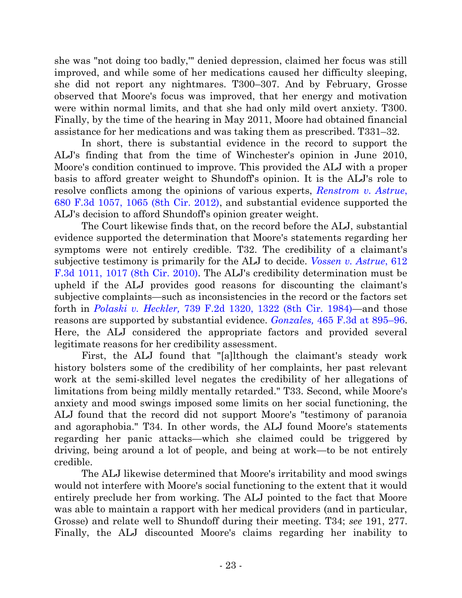she was "not doing too badly,'" denied depression, claimed her focus was still improved, and while some of her medications caused her difficulty sleeping, she did not report any nightmares. T300–307. And by February, Grosse observed that Moore's focus was improved, that her energy and motivation were within normal limits, and that she had only mild overt anxiety. T300. Finally, by the time of the hearing in May 2011, Moore had obtained financial assistance for her medications and was taking them as prescribed. T331–32.

In short, there is substantial evidence in the record to support the ALJ's finding that from the time of Winchester's opinion in June 2010, Moore's condition continued to improve. This provided the ALJ with a proper basis to afford greater weight to Shundoff's opinion. It is the ALJ's role to resolve conflicts among the opinions of various experts, *[Renstrom v. Astrue](http://westlaw.com/find/default.wl?ft=Y&referencepositiontype=S&rs=btil2.0&rp=%2ffind%2fdefault.wl&serialnum=2027876203&fn=_top&referenceposition=1065&findtype=Y&vr=2.0&db=0000506&wbtoolsId=2027876203&HistoryType=F)*, [680 F.3d 1057, 1065 \(8th Cir. 2012\),](http://westlaw.com/find/default.wl?ft=Y&referencepositiontype=S&rs=btil2.0&rp=%2ffind%2fdefault.wl&serialnum=2027876203&fn=_top&referenceposition=1065&findtype=Y&vr=2.0&db=0000506&wbtoolsId=2027876203&HistoryType=F) and substantial evidence supported the ALJ's decision to afford Shundoff's opinion greater weight.

The Court likewise finds that, on the record before the ALJ, substantial evidence supported the determination that Moore's statements regarding her symptoms were not entirely credible. T32. The credibility of a claimant's subjective testimony is primarily for the ALJ to decide. *Vossen [v. Astrue](http://westlaw.com/find/default.wl?ft=Y&db=0000506&rs=btil2.0&rp=%2ffind%2fdefault.wl&serialnum=2022547732&fn=_top&findtype=Y&vr=2.0&wbtoolsId=2022547732&HistoryType=F)*, 612 F.3d 1011, [1017 \(8th Cir. 2010\).](http://westlaw.com/find/default.wl?ft=Y&db=0000506&rs=btil2.0&rp=%2ffind%2fdefault.wl&serialnum=2022547732&fn=_top&findtype=Y&vr=2.0&wbtoolsId=2022547732&HistoryType=F) The ALJ's credibility determination must be upheld if the ALJ provides good reasons for discounting the claimant's subjective complaints—such as inconsistencies in the record or the factors set forth in *Polaski v. Heckler,* [739 F.2d 1320, 1322 \(8th Cir.](http://westlaw.com/find/default.wl?ft=Y&referencepositiontype=S&rs=btil2.0&rp=%2ffind%2fdefault.wl&serialnum=1984135569&fn=_top&referenceposition=1322&findtype=Y&vr=2.0&db=0000350&wbtoolsId=1984135569&HistoryType=F) 1984)—and those reasons are supported by substantial evidence. *Gonzales,* [465 F.3d at 895](http://westlaw.com/find/default.wl?ft=Y&referencepositiontype=S&rs=btil2.0&rp=%2ffind%2fdefault.wl&serialnum=2010493996&fn=_top&referenceposition=894&findtype=Y&vr=2.0&db=0000506&wbtoolsId=2010493996&HistoryType=F)–96. Here, the ALJ considered the appropriate factors and provided several legitimate reasons for her credibility assessment.

First, the ALJ found that "[a]lthough the claimant's steady work history bolsters some of the credibility of her complaints, her past relevant work at the semi-skilled level negates the credibility of her allegations of limitations from being mildly mentally retarded." T33. Second, while Moore's anxiety and mood swings imposed some limits on her social functioning, the ALJ found that the record did not support Moore's "testimony of paranoia and agoraphobia." T34. In other words, the ALJ found Moore's statements regarding her panic attacks—which she claimed could be triggered by driving, being around a lot of people, and being at work—to be not entirely credible.

The ALJ likewise determined that Moore's irritability and mood swings would not interfere with Moore's social functioning to the extent that it would entirely preclude her from working. The ALJ pointed to the fact that Moore was able to maintain a rapport with her medical providers (and in particular, Grosse) and relate well to Shundoff during their meeting. T34; *see* 191, 277. Finally, the ALJ discounted Moore's claims regarding her inability to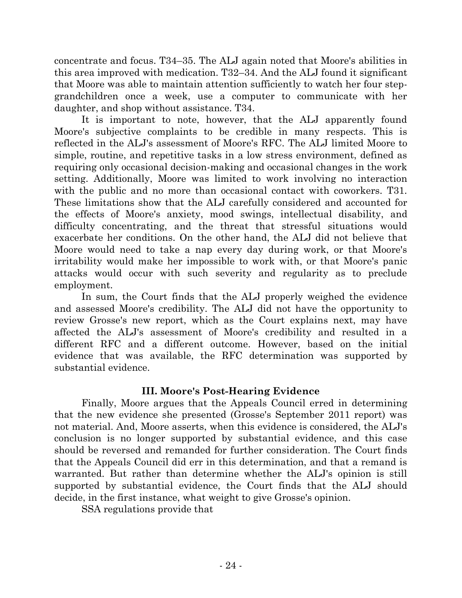concentrate and focus. T34–35. The ALJ again noted that Moore's abilities in this area improved with medication. T32–34. And the ALJ found it significant that Moore was able to maintain attention sufficiently to watch her four stepgrandchildren once a week, use a computer to communicate with her daughter, and shop without assistance. T34.

It is important to note, however, that the ALJ apparently found Moore's subjective complaints to be credible in many respects. This is reflected in the ALJ's assessment of Moore's RFC. The ALJ limited Moore to simple, routine, and repetitive tasks in a low stress environment, defined as requiring only occasional decision-making and occasional changes in the work setting. Additionally, Moore was limited to work involving no interaction with the public and no more than occasional contact with coworkers. T31. These limitations show that the ALJ carefully considered and accounted for the effects of Moore's anxiety, mood swings, intellectual disability, and difficulty concentrating, and the threat that stressful situations would exacerbate her conditions. On the other hand, the ALJ did not believe that Moore would need to take a nap every day during work, or that Moore's irritability would make her impossible to work with, or that Moore's panic attacks would occur with such severity and regularity as to preclude employment.

In sum, the Court finds that the ALJ properly weighed the evidence and assessed Moore's credibility. The ALJ did not have the opportunity to review Grosse's new report, which as the Court explains next, may have affected the ALJ's assessment of Moore's credibility and resulted in a different RFC and a different outcome. However, based on the initial evidence that was available, the RFC determination was supported by substantial evidence.

## **III. Moore's Post-Hearing Evidence**

Finally, Moore argues that the Appeals Council erred in determining that the new evidence she presented (Grosse's September 2011 report) was not material. And, Moore asserts, when this evidence is considered, the ALJ's conclusion is no longer supported by substantial evidence, and this case should be reversed and remanded for further consideration. The Court finds that the Appeals Council did err in this determination, and that a remand is warranted. But rather than determine whether the ALJ's opinion is still supported by substantial evidence, the Court finds that the ALJ should decide, in the first instance, what weight to give Grosse's opinion.

SSA regulations provide that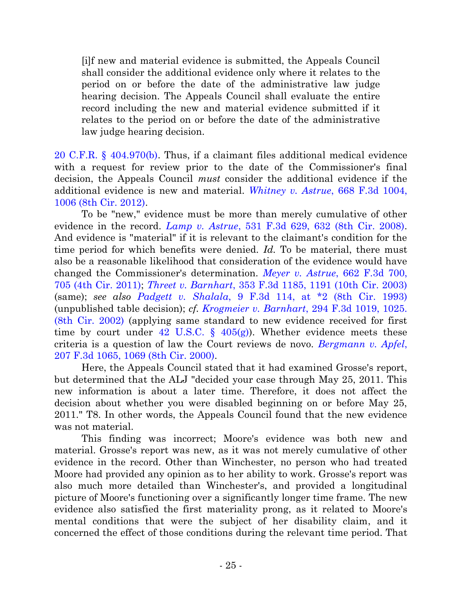[i]f new and material evidence is submitted, the Appeals Council shall consider the additional evidence only where it relates to the period on or before the date of the administrative law judge hearing decision. The Appeals Council shall evaluate the entire record including the new and material evidence submitted if it relates to the period on or before the date of the administrative law judge hearing decision.

[20 C.F.R. § 404.970\(b\).](http://westlaw.com/find/default.wl?ft=L&docname=20CFRS404.970&rs=btil2.0&rp=%2ffind%2fdefault.wl&fn=_top&findtype=L&vr=2.0&db=1000547&wbtoolsId=20CFRS404.970&HistoryType=F) Thus, if a claimant files additional medical evidence with a request for review prior to the date of the Commissioner's final decision, the Appeals Council *must* consider the additional evidence if the additional evidence is new and material. *[Whitney v. Astrue](http://westlaw.com/find/default.wl?ft=Y&referencepositiontype=S&rs=btil2.0&rp=%2ffind%2fdefault.wl&serialnum=2027135037&fn=_top&referenceposition=1006&findtype=Y&vr=2.0&db=0000506&wbtoolsId=2027135037&HistoryType=F)*, 668 F.3d 1004, [1006 \(8th Cir. 2012\).](http://westlaw.com/find/default.wl?ft=Y&referencepositiontype=S&rs=btil2.0&rp=%2ffind%2fdefault.wl&serialnum=2027135037&fn=_top&referenceposition=1006&findtype=Y&vr=2.0&db=0000506&wbtoolsId=2027135037&HistoryType=F)

To be "new," evidence must be more than merely cumulative of other evidence in the record. *Lamp v. Astrue*[, 531 F.3d 629, 632 \(8th Cir. 2008\).](http://westlaw.com/find/default.wl?ft=Y&referencepositiontype=S&rs=btil2.0&rp=%2ffind%2fdefault.wl&serialnum=2016470016&fn=_top&referenceposition=632&findtype=Y&vr=2.0&db=0000506&wbtoolsId=2016470016&HistoryType=F) And evidence is "material" if it is relevant to the claimant's condition for the time period for which benefits were denied. *Id.* To be material, there must also be a reasonable likelihood that consideration of the evidence would have changed the Commissioner's determination. *Meyer v. Astrue*[, 662 F.3d 700,](http://westlaw.com/find/default.wl?ft=Y&referencepositiontype=S&rs=btil2.0&rp=%2ffind%2fdefault.wl&serialnum=2026612523&fn=_top&referenceposition=705&findtype=Y&vr=2.0&db=0000506&wbtoolsId=2026612523&HistoryType=F)  [705 \(4th Cir. 2011\);](http://westlaw.com/find/default.wl?ft=Y&referencepositiontype=S&rs=btil2.0&rp=%2ffind%2fdefault.wl&serialnum=2026612523&fn=_top&referenceposition=705&findtype=Y&vr=2.0&db=0000506&wbtoolsId=2026612523&HistoryType=F) *Threet v. Barnhart*[, 353 F.3d 1185, 1191 \(10th Cir. 2003\)](http://westlaw.com/find/default.wl?ft=Y&referencepositiontype=S&rs=btil2.0&rp=%2ffind%2fdefault.wl&serialnum=2003962216&fn=_top&referenceposition=1191&findtype=Y&vr=2.0&db=0000506&wbtoolsId=2003962216&HistoryType=F) (same); *see also Padgett v. Shalala*[, 9 F.3d 114, at \\*2 \(8th Cir. 1993\)](http://westlaw.com/find/default.wl?ft=Y&referencepositiontype=S&rs=btil2.0&rp=%2ffind%2fdefault.wl&serialnum=1993203074&fn=_top&referenceposition=2&findtype=Y&vr=2.0&db=0000506&wbtoolsId=1993203074&HistoryType=F) (unpublished table decision); *cf. Krogmeier v. Barnhart*[, 294 F.3d 1019, 1025.](http://westlaw.com/find/default.wl?ft=Y&referencepositiontype=S&rs=btil2.0&rp=%2ffind%2fdefault.wl&serialnum=2002391738&fn=_top&referenceposition=1025&findtype=Y&vr=2.0&db=0000506&wbtoolsId=2002391738&HistoryType=F)  [\(8th Cir. 2002\)](http://westlaw.com/find/default.wl?ft=Y&referencepositiontype=S&rs=btil2.0&rp=%2ffind%2fdefault.wl&serialnum=2002391738&fn=_top&referenceposition=1025&findtype=Y&vr=2.0&db=0000506&wbtoolsId=2002391738&HistoryType=F) (applying same standard to new evidence received for first time by court under 42 U.S.C.  $\S$  405(g)). Whether evidence meets these criteria is a question of law the Court reviews de novo. *[Bergmann v. Apfel](http://westlaw.com/find/default.wl?ft=Y&referencepositiontype=S&rs=btil2.0&rp=%2ffind%2fdefault.wl&serialnum=2000086658&fn=_top&referenceposition=1069&findtype=Y&vr=2.0&db=0000506&wbtoolsId=2000086658&HistoryType=F)*, [207 F.3d 1065, 1069 \(8th Cir. 2000\).](http://westlaw.com/find/default.wl?ft=Y&referencepositiontype=S&rs=btil2.0&rp=%2ffind%2fdefault.wl&serialnum=2000086658&fn=_top&referenceposition=1069&findtype=Y&vr=2.0&db=0000506&wbtoolsId=2000086658&HistoryType=F)

Here, the Appeals Council stated that it had examined Grosse's report, but determined that the ALJ "decided your case through May 25, 2011. This new information is about a later time. Therefore, it does not affect the decision about whether you were disabled beginning on or before May 25, 2011." T8. In other words, the Appeals Council found that the new evidence was not material.

This finding was incorrect; Moore's evidence was both new and material. Grosse's report was new, as it was not merely cumulative of other evidence in the record. Other than Winchester, no person who had treated Moore had provided any opinion as to her ability to work. Grosse's report was also much more detailed than Winchester's, and provided a longitudinal picture of Moore's functioning over a significantly longer time frame. The new evidence also satisfied the first materiality prong, as it related to Moore's mental conditions that were the subject of her disability claim, and it concerned the effect of those conditions during the relevant time period. That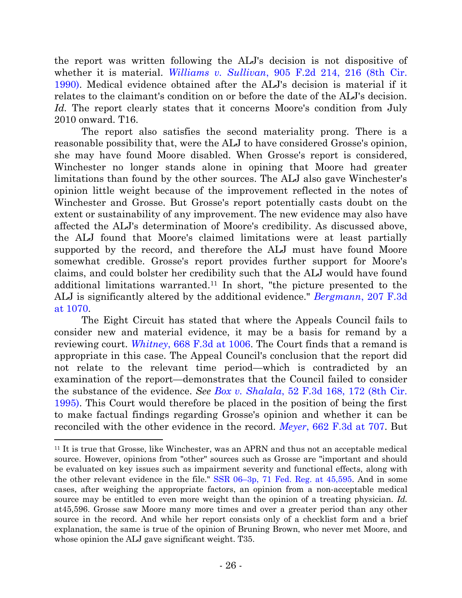the report was written following the ALJ's decision is not dispositive of whether it is material. *Williams v. Sullivan*[, 905 F.2d 214, 216 \(8th Cir.](http://westlaw.com/find/default.wl?ft=Y&referencepositiontype=S&rs=btil2.0&rp=%2ffind%2fdefault.wl&serialnum=1990088376&fn=_top&referenceposition=216&findtype=Y&vr=2.0&db=0000350&wbtoolsId=1990088376&HistoryType=F)  [1990\).](http://westlaw.com/find/default.wl?ft=Y&referencepositiontype=S&rs=btil2.0&rp=%2ffind%2fdefault.wl&serialnum=1990088376&fn=_top&referenceposition=216&findtype=Y&vr=2.0&db=0000350&wbtoolsId=1990088376&HistoryType=F) Medical evidence obtained after the ALJ's decision is material if it relates to the claimant's condition on or before the date of the ALJ's decision. *Id.* The report clearly states that it concerns Moore's condition from July 2010 onward. T16.

The report also satisfies the second materiality prong. There is a reasonable possibility that, were the ALJ to have considered Grosse's opinion, she may have found Moore disabled. When Grosse's report is considered, Winchester no longer stands alone in opining that Moore had greater limitations than found by the other sources. The ALJ also gave Winchester's opinion little weight because of the improvement reflected in the notes of Winchester and Grosse. But Grosse's report potentially casts doubt on the extent or sustainability of any improvement. The new evidence may also have affected the ALJ's determination of Moore's credibility. As discussed above, the ALJ found that Moore's claimed limitations were at least partially supported by the record, and therefore the ALJ must have found Moore somewhat credible. Grosse's report provides further support for Moore's claims, and could bolster her credibility such that the ALJ would have found additional limitations warranted. <sup>11</sup> In short, "the picture presented to the ALJ is significantly altered by the additional evidence." *Bergmann*[, 207 F.3d](http://westlaw.com/find/default.wl?ft=Y&referencepositiontype=S&rs=btil2.0&rp=%2ffind%2fdefault.wl&serialnum=2000086658&fn=_top&referenceposition=1069&findtype=Y&vr=2.0&db=0000506&wbtoolsId=2000086658&HistoryType=F)  [at 1070.](http://westlaw.com/find/default.wl?ft=Y&referencepositiontype=S&rs=btil2.0&rp=%2ffind%2fdefault.wl&serialnum=2000086658&fn=_top&referenceposition=1069&findtype=Y&vr=2.0&db=0000506&wbtoolsId=2000086658&HistoryType=F)

The Eight Circuit has stated that where the Appeals Council fails to consider new and material evidence, it may be a basis for remand by a reviewing court. *Whitney*[, 668 F.3d at 1006.](http://westlaw.com/find/default.wl?ft=Y&referencepositiontype=S&rs=btil2.0&rp=%2ffind%2fdefault.wl&serialnum=2027135037&fn=_top&referenceposition=1006&findtype=Y&vr=2.0&db=0000506&wbtoolsId=2027135037&HistoryType=F) The Court finds that a remand is appropriate in this case. The Appeal Council's conclusion that the report did not relate to the relevant time period—which is contradicted by an examination of the report—demonstrates that the Council failed to consider the substance of the evidence. *See Box v. Shalala*[, 52 F.3d 168, 172 \(8th Cir.](http://westlaw.com/find/default.wl?ft=Y&referencepositiontype=S&rs=btil2.0&rp=%2ffind%2fdefault.wl&serialnum=1995080997&fn=_top&referenceposition=172&findtype=Y&vr=2.0&db=0000506&wbtoolsId=1995080997&HistoryType=F)  [1995\).](http://westlaw.com/find/default.wl?ft=Y&referencepositiontype=S&rs=btil2.0&rp=%2ffind%2fdefault.wl&serialnum=1995080997&fn=_top&referenceposition=172&findtype=Y&vr=2.0&db=0000506&wbtoolsId=1995080997&HistoryType=F) This Court would therefore be placed in the position of being the first to make factual findings regarding Grosse's opinion and whether it can be reconciled with the other evidence in the record. *Meyer*[, 662 F.3d at 707.](http://westlaw.com/find/default.wl?ft=Y&referencepositiontype=S&rs=btil2.0&rp=%2ffind%2fdefault.wl&serialnum=2026612523&fn=_top&referenceposition=705&findtype=Y&vr=2.0&db=0000506&wbtoolsId=2026612523&HistoryType=F) But

<sup>11</sup> It is true that Grosse, like Winchester, was an APRN and thus not an acceptable medical source. However, opinions from "other" sources such as Grosse are "important and should be evaluated on key issues such as impairment severity and functional effects, along with the other relevant evidence in the file." SSR 06–[3p, 71 Fed. Reg. at 45,595.](http://web2.westlaw.com/find/default.wl?cite=71+FR+45593-03&rs=WLW13.07&pbc=E312021D&vr=2.0&rp=%2ffind%2fdefault.wl&utid=1&fn=_top&mt=FederalGovernment&sv=Split) And in some cases, after weighing the appropriate factors, an opinion from a non-acceptable medical source may be entitled to even more weight than the opinion of a treating physician. *Id.* at45,596. Grosse saw Moore many more times and over a greater period than any other source in the record. And while her report consists only of a checklist form and a brief explanation, the same is true of the opinion of Bruning Brown, who never met Moore, and whose opinion the ALJ gave significant weight. T35.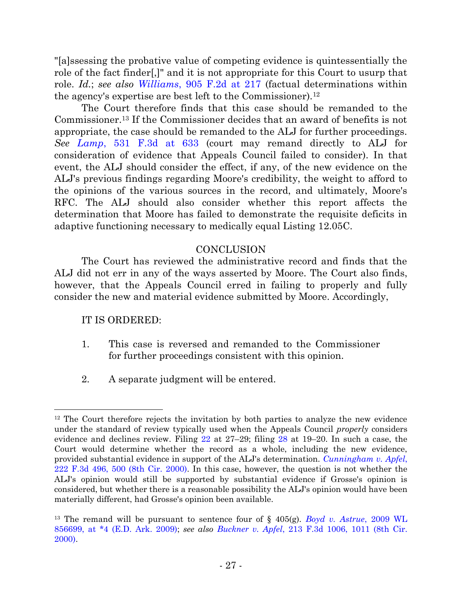"[a]ssessing the probative value of competing evidence is quintessentially the role of the fact finder[,]" and it is not appropriate for this Court to usurp that role. *Id.*; *see also Williams*[, 905 F.2d at](http://westlaw.com/find/default.wl?ft=Y&referencepositiontype=S&rs=btil2.0&rp=%2ffind%2fdefault.wl&serialnum=1990088376&fn=_top&referenceposition=216&findtype=Y&vr=2.0&db=0000350&wbtoolsId=1990088376&HistoryType=F) 217 (factual determinations within the agency's expertise are best left to the Commissioner).<sup>12</sup>

The Court therefore finds that this case should be remanded to the Commissioner.<sup>13</sup> If the Commissioner decides that an award of benefits is not appropriate, the case should be remanded to the ALJ for further proceedings. *See Lamp*[, 531 F.3d at 633](http://westlaw.com/find/default.wl?ft=Y&referencepositiontype=S&rs=btil2.0&rp=%2ffind%2fdefault.wl&serialnum=2016470016&fn=_top&referenceposition=632&findtype=Y&vr=2.0&db=0000506&wbtoolsId=2016470016&HistoryType=F) (court may remand directly to ALJ for consideration of evidence that Appeals Council failed to consider). In that event, the ALJ should consider the effect, if any, of the new evidence on the ALJ's previous findings regarding Moore's credibility, the weight to afford to the opinions of the various sources in the record, and ultimately, Moore's RFC. The ALJ should also consider whether this report affects the determination that Moore has failed to demonstrate the requisite deficits in adaptive functioning necessary to medically equal Listing 12.05C.

## **CONCLUSION**

The Court has reviewed the administrative record and finds that the ALJ did not err in any of the ways asserted by Moore. The Court also finds, however, that the Appeals Council erred in failing to properly and fully consider the new and material evidence submitted by Moore. Accordingly,

IT IS ORDERED:

- 1. This case is reversed and remanded to the Commissioner for further proceedings consistent with this opinion.
- 2. A separate judgment will be entered.

 <sup>12</sup> The Court therefore rejects the invitation by both parties to analyze the new evidence under the standard of review typically used when the Appeals Council *properly* considers evidence and declines review. Filing [22](https://ecf.ned.uscourts.gov/doc1/11312740351) at 27–29; filing [28](https://ecf.ned.uscourts.gov/doc1/11312815846) at 19–20. In such a case, the Court would determine whether the record as a whole, including the new evidence, provided substantial evidence in support of the ALJ's determination. *[Cunningham v. Apfel](http://westlaw.com/find/default.wl?ft=Y&referencepositiontype=S&rs=btil2.0&rp=%2ffind%2fdefault.wl&serialnum=2000462905&fn=_top&referenceposition=500&findtype=Y&vr=2.0&db=0000506&wbtoolsId=2000462905&HistoryType=F)*, [222 F.3d 496, 500 \(8th Cir. 2000\).](http://westlaw.com/find/default.wl?ft=Y&referencepositiontype=S&rs=btil2.0&rp=%2ffind%2fdefault.wl&serialnum=2000462905&fn=_top&referenceposition=500&findtype=Y&vr=2.0&db=0000506&wbtoolsId=2000462905&HistoryType=F) In this case, however, the question is not whether the ALJ's opinion would still be supported by substantial evidence if Grosse's opinion is considered, but whether there is a reasonable possibility the ALJ's opinion would have been materially different, had Grosse's opinion been available.

<sup>13</sup> The remand will be pursuant to sentence four of § 405(g). *[Boyd v. Astrue](http://web2.westlaw.com/find/default.wl?cite=2009+WL+856699&rs=WLW13.07&vr=2.0&rp=%2ffind%2fdefault.wl&utid=1&fn=_top&mt=FederalGovernment&sv=Split)*, 2009 WL [856699, at \\*4 \(E.D. Ark. 2009\);](http://web2.westlaw.com/find/default.wl?cite=2009+WL+856699&rs=WLW13.07&vr=2.0&rp=%2ffind%2fdefault.wl&utid=1&fn=_top&mt=FederalGovernment&sv=Split) *see also Buckner v. Apfel*[, 213 F.3d 1006, 1011 \(8th Cir.](http://web2.westlaw.com/find/default.wl?cite=213+F.3d+1006&rs=WLW13.07&vr=2.0&rp=%2ffind%2fdefault.wl&utid=1&fn=_top&mt=FederalGovernment&sv=Split)  [2000\).](http://web2.westlaw.com/find/default.wl?cite=213+F.3d+1006&rs=WLW13.07&vr=2.0&rp=%2ffind%2fdefault.wl&utid=1&fn=_top&mt=FederalGovernment&sv=Split)